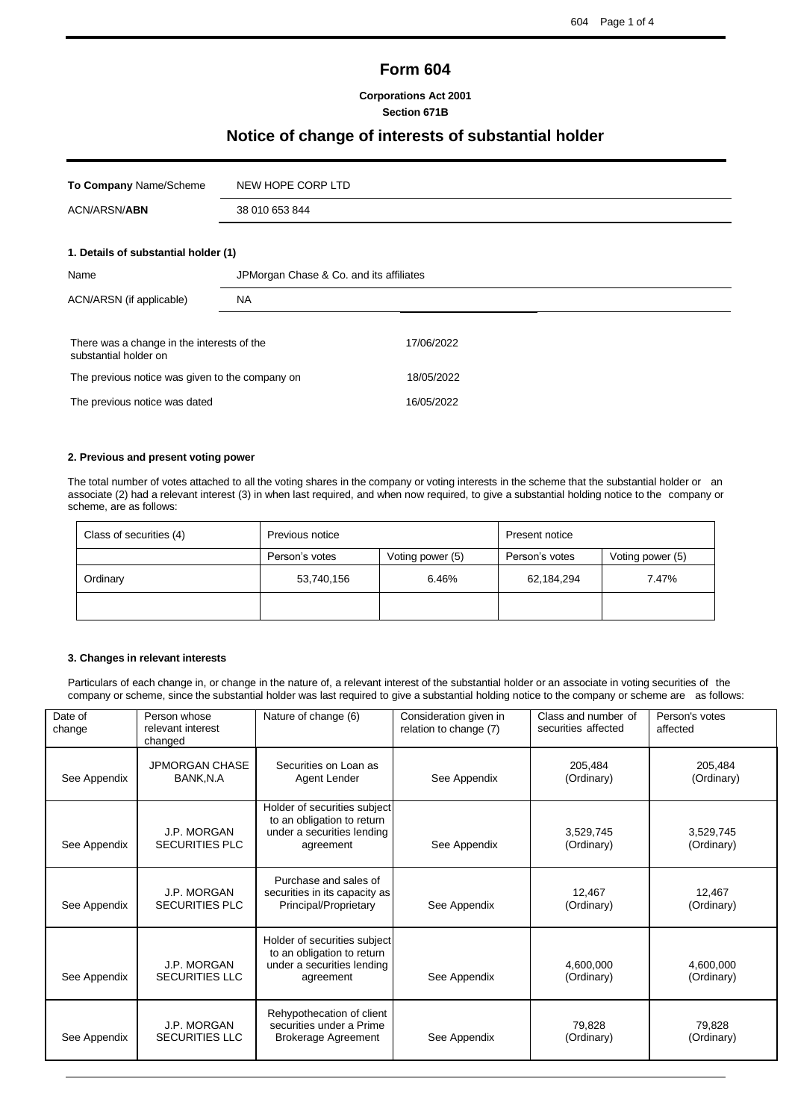í

# **Form 604**

**Corporations Act 2001 Section 671B**

# **Notice of change of interests of substantial holder**

| To Company Name/Scheme                                              | NEW HOPE CORP LTD                       |            |  |  |  |
|---------------------------------------------------------------------|-----------------------------------------|------------|--|--|--|
| ACN/ARSN/ <b>ABN</b>                                                | 38 010 653 844                          |            |  |  |  |
| 1. Details of substantial holder (1)                                |                                         |            |  |  |  |
| Name                                                                | JPMorgan Chase & Co. and its affiliates |            |  |  |  |
| ACN/ARSN (if applicable)                                            | <b>NA</b>                               |            |  |  |  |
| There was a change in the interests of the<br>substantial holder on |                                         | 17/06/2022 |  |  |  |
| The previous notice was given to the company on                     |                                         | 18/05/2022 |  |  |  |
| The previous notice was dated                                       |                                         | 16/05/2022 |  |  |  |

#### **2. Previous and present voting power**

The total number of votes attached to all the voting shares in the company or voting interests in the scheme that the substantial holder or an associate (2) had a relevant interest (3) in when last required, and when now required, to give a substantial holding notice to the company or scheme, are as follows:

| Class of securities (4) | Previous notice                    |  | Present notice |                  |  |
|-------------------------|------------------------------------|--|----------------|------------------|--|
|                         | Person's votes<br>Voting power (5) |  | Person's votes | Voting power (5) |  |
| Ordinary                | 6.46%<br>53,740,156                |  | 62,184,294     | 7.47%            |  |
|                         |                                    |  |                |                  |  |

#### **3. Changes in relevant interests**

Particulars of each change in, or change in the nature of, a relevant interest of the substantial holder or an associate in voting securities of the company or scheme, since the substantial holder was last required to give a substantial holding notice to the company or scheme are as follows:

| Date of<br>change | Person whose<br>relevant interest<br>changed | Nature of change (6)                                                                                  | Consideration given in<br>relation to change (7) | Class and number of<br>securities affected | Person's votes<br>affected |
|-------------------|----------------------------------------------|-------------------------------------------------------------------------------------------------------|--------------------------------------------------|--------------------------------------------|----------------------------|
| See Appendix      | <b>JPMORGAN CHASE</b><br>BANK, N.A           | Securities on Loan as<br>Agent Lender                                                                 | See Appendix                                     | 205.484<br>(Ordinary)                      | 205,484<br>(Ordinary)      |
| See Appendix      | J.P. MORGAN<br><b>SECURITIES PLC</b>         | Holder of securities subject<br>to an obligation to return<br>under a securities lending<br>agreement | See Appendix                                     | 3,529,745<br>(Ordinary)                    | 3,529,745<br>(Ordinary)    |
| See Appendix      | J.P. MORGAN<br><b>SECURITIES PLC</b>         | Purchase and sales of<br>securities in its capacity as<br>Principal/Proprietary                       | See Appendix                                     | 12.467<br>(Ordinary)                       | 12.467<br>(Ordinary)       |
| See Appendix      | J.P. MORGAN<br><b>SECURITIES LLC</b>         | Holder of securities subject<br>to an obligation to return<br>under a securities lending<br>agreement | See Appendix                                     | 4,600,000<br>(Ordinary)                    | 4,600,000<br>(Ordinary)    |
| See Appendix      | J.P. MORGAN<br><b>SECURITIES LLC</b>         | Rehypothecation of client<br>securities under a Prime<br><b>Brokerage Agreement</b>                   | See Appendix                                     | 79.828<br>(Ordinary)                       | 79.828<br>(Ordinary)       |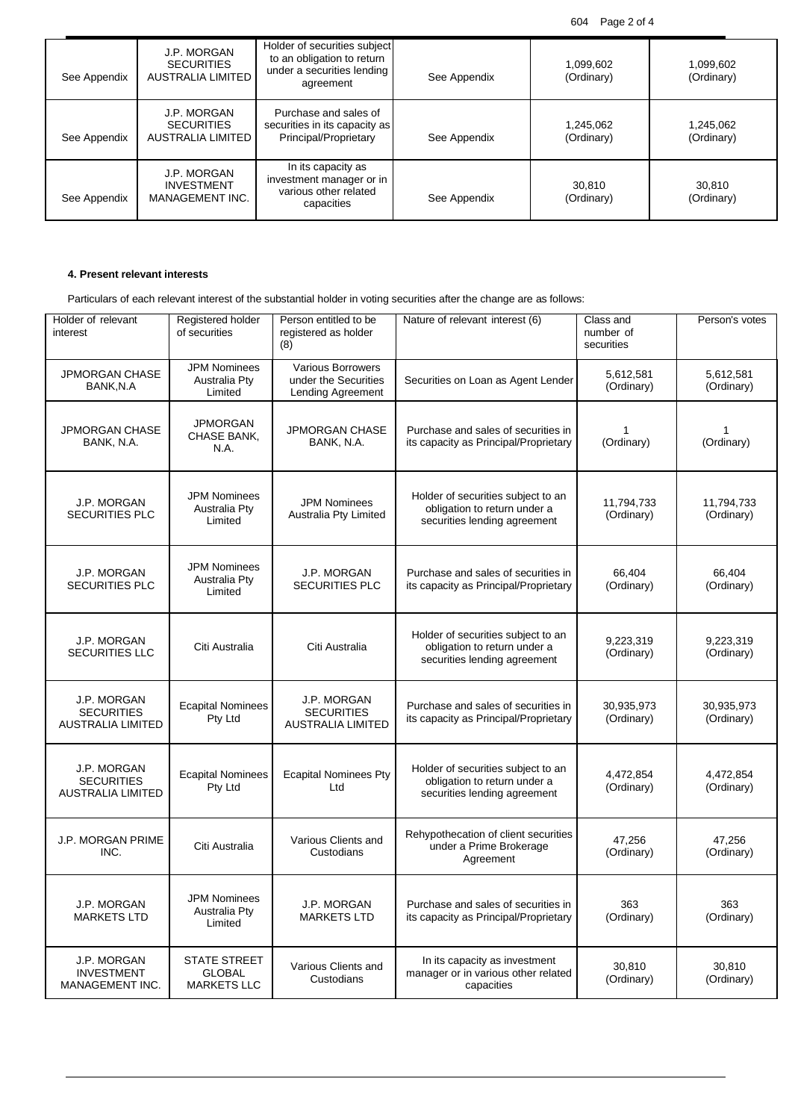604 Page 2 of 4

| See Appendix | J.P. MORGAN<br><b>SECURITIES</b><br><b>AUSTRALIA LIMITED</b> | Holder of securities subject<br>to an obligation to return<br>under a securities lending<br>agreement | See Appendix | 1,099,602<br>(Ordinary) | 1,099,602<br>(Ordinary) |
|--------------|--------------------------------------------------------------|-------------------------------------------------------------------------------------------------------|--------------|-------------------------|-------------------------|
| See Appendix | J.P. MORGAN<br><b>SECURITIES</b><br>AUSTRALIA LIMITED        | Purchase and sales of<br>securities in its capacity as<br>Principal/Proprietary                       | See Appendix | 1,245,062<br>(Ordinary) | 1,245,062<br>(Ordinary) |
| See Appendix | J.P. MORGAN<br><b>INVESTMENT</b><br>MANAGEMENT INC.          | In its capacity as<br>investment manager or in<br>various other related<br>capacities                 | See Appendix | 30.810<br>(Ordinary)    | 30,810<br>(Ordinary)    |

# **4. Present relevant interests**

Particulars of each relevant interest of the substantial holder in voting securities after the change are as follows:

| Holder of relevant<br>interest                               | Registered holder<br>of securities                         | Person entitled to be<br>registered as holder<br>(8)                  | Nature of relevant interest (6)                                                                    | Class and<br>number of<br>securities | Person's votes           |
|--------------------------------------------------------------|------------------------------------------------------------|-----------------------------------------------------------------------|----------------------------------------------------------------------------------------------------|--------------------------------------|--------------------------|
| <b>JPMORGAN CHASE</b><br>BANK, N.A                           | <b>JPM Nominees</b><br><b>Australia Pty</b><br>Limited     | <b>Various Borrowers</b><br>under the Securities<br>Lending Agreement | Securities on Loan as Agent Lender                                                                 | 5,612,581<br>(Ordinary)              | 5,612,581<br>(Ordinary)  |
| <b>JPMORGAN CHASE</b><br>BANK, N.A.                          | <b>JPMORGAN</b><br>CHASE BANK,<br>N.A.                     | <b>JPMORGAN CHASE</b><br>BANK, N.A.                                   | Purchase and sales of securities in<br>its capacity as Principal/Proprietary                       | 1<br>(Ordinary)                      | (Ordinary)               |
| J.P. MORGAN<br>SECURITIES PLC                                | <b>JPM Nominees</b><br>Australia Pty<br>Limited            | <b>JPM Nominees</b><br>Australia Pty Limited                          | Holder of securities subject to an<br>obligation to return under a<br>securities lending agreement | 11,794,733<br>(Ordinary)             | 11,794,733<br>(Ordinary) |
| J.P. MORGAN<br><b>SECURITIES PLC</b>                         | <b>JPM Nominees</b><br><b>Australia Pty</b><br>Limited     | J.P. MORGAN<br><b>SECURITIES PLC</b>                                  | Purchase and sales of securities in<br>its capacity as Principal/Proprietary                       | 66.404<br>(Ordinary)                 | 66,404<br>(Ordinary)     |
| J.P. MORGAN<br><b>SECURITIES LLC</b>                         | Citi Australia                                             | Citi Australia                                                        | Holder of securities subject to an<br>obligation to return under a<br>securities lending agreement | 9,223,319<br>(Ordinary)              | 9,223,319<br>(Ordinary)  |
| J.P. MORGAN<br><b>SECURITIES</b><br><b>AUSTRALIA LIMITED</b> | <b>Ecapital Nominees</b><br>Pty Ltd                        | J.P. MORGAN<br><b>SECURITIES</b><br><b>AUSTRALIA LIMITED</b>          | Purchase and sales of securities in<br>its capacity as Principal/Proprietary                       | 30,935,973<br>(Ordinary)             | 30,935,973<br>(Ordinary) |
| J.P. MORGAN<br><b>SECURITIES</b><br><b>AUSTRALIA LIMITED</b> | <b>Ecapital Nominees</b><br>Pty Ltd                        | <b>Ecapital Nominees Pty</b><br>Ltd                                   | Holder of securities subject to an<br>obligation to return under a<br>securities lending agreement | 4,472,854<br>(Ordinary)              | 4,472,854<br>(Ordinary)  |
| <b>J.P. MORGAN PRIME</b><br>INC.                             | Citi Australia                                             | Various Clients and<br>Custodians                                     | Rehypothecation of client securities<br>under a Prime Brokerage<br>Agreement                       | 47,256<br>(Ordinary)                 | 47,256<br>(Ordinary)     |
| J.P. MORGAN<br><b>MARKETS LTD</b>                            | <b>JPM Nominees</b><br>Australia Pty<br>Limited            | J.P. MORGAN<br><b>MARKETS LTD</b>                                     | Purchase and sales of securities in<br>its capacity as Principal/Proprietary                       | 363<br>(Ordinary)                    | 363<br>(Ordinary)        |
| J.P. MORGAN<br><b>INVESTMENT</b><br>MANAGEMENT INC.          | <b>STATE STREET</b><br><b>GLOBAL</b><br><b>MARKETS LLC</b> | Various Clients and<br>Custodians                                     | In its capacity as investment<br>manager or in various other related<br>capacities                 | 30,810<br>(Ordinary)                 | 30,810<br>(Ordinary)     |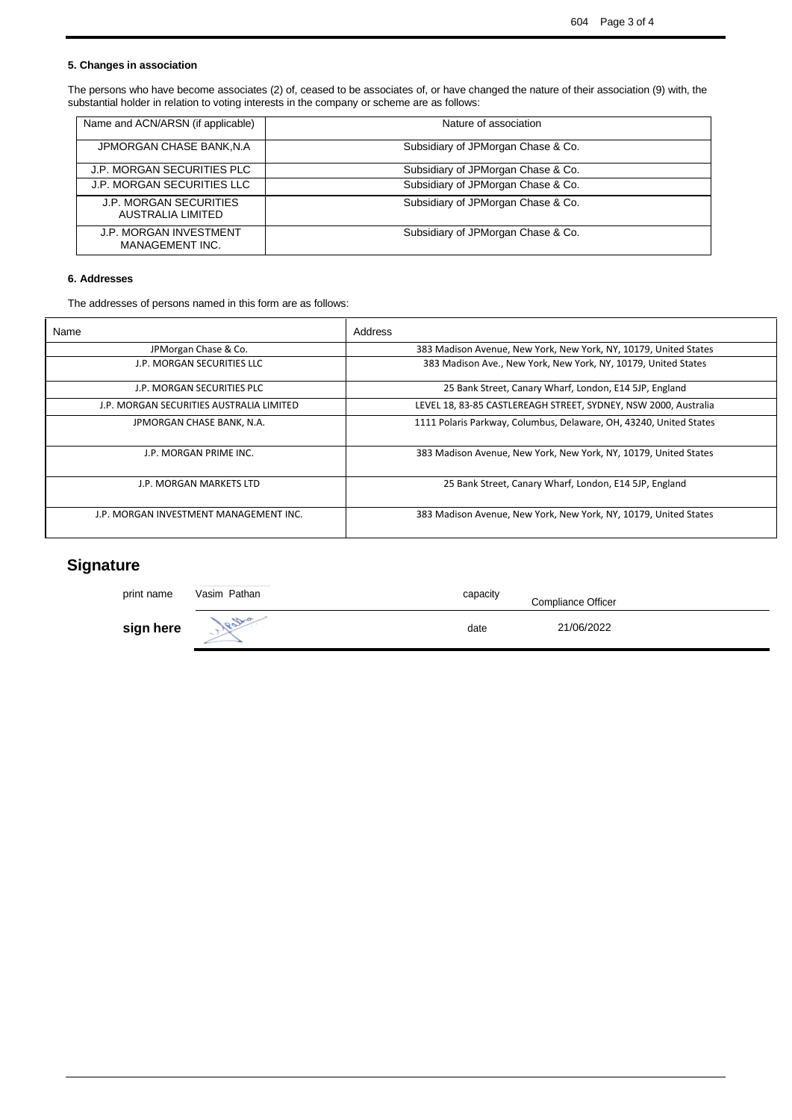í

# **5. Changes in association**

The persons who have become associates (2) of, ceased to be associates of, or have changed the nature of their association (9) with, the substantial holder in relation to voting interests in the company or scheme are as follows:

| Name and ACN/ARSN (if applicable)                  | Nature of association              |
|----------------------------------------------------|------------------------------------|
| JPMORGAN CHASE BANK, N.A.                          | Subsidiary of JPMorgan Chase & Co. |
| J.P. MORGAN SECURITIES PLC                         | Subsidiary of JPMorgan Chase & Co. |
| <b>J.P. MORGAN SECURITIES LLC</b>                  | Subsidiary of JPMorgan Chase & Co. |
| <b>J.P. MORGAN SECURITIES</b><br>AUSTRALIA LIMITED | Subsidiary of JPMorgan Chase & Co. |
| J.P. MORGAN INVESTMENT<br>MANAGEMENT INC.          | Subsidiary of JPMorgan Chase & Co. |

# **6. Addresses**

The addresses of persons named in this form are as follows:

| Name                                     | Address                                                            |
|------------------------------------------|--------------------------------------------------------------------|
| JPMorgan Chase & Co.                     | 383 Madison Avenue, New York, New York, NY, 10179, United States   |
| J.P. MORGAN SECURITIES LLC               | 383 Madison Ave., New York, New York, NY, 10179, United States     |
| J.P. MORGAN SECURITIES PLC               | 25 Bank Street, Canary Wharf, London, E14 5JP, England             |
| J.P. MORGAN SECURITIES AUSTRALIA LIMITED | LEVEL 18, 83-85 CASTLEREAGH STREET, SYDNEY, NSW 2000, Australia    |
| JPMORGAN CHASE BANK, N.A.                | 1111 Polaris Parkway, Columbus, Delaware, OH, 43240, United States |
| J.P. MORGAN PRIME INC.                   | 383 Madison Avenue, New York, New York, NY, 10179, United States   |
| J.P. MORGAN MARKETS LTD                  | 25 Bank Street, Canary Wharf, London, E14 5JP, England             |
| J.P. MORGAN INVESTMENT MANAGEMENT INC.   | 383 Madison Avenue, New York, New York, NY, 10179, United States   |

# **Signature**

| print name | Vasim Pathan | capacity | Compliance Officer |
|------------|--------------|----------|--------------------|
| sign here  | estra        | date     | 21/06/2022         |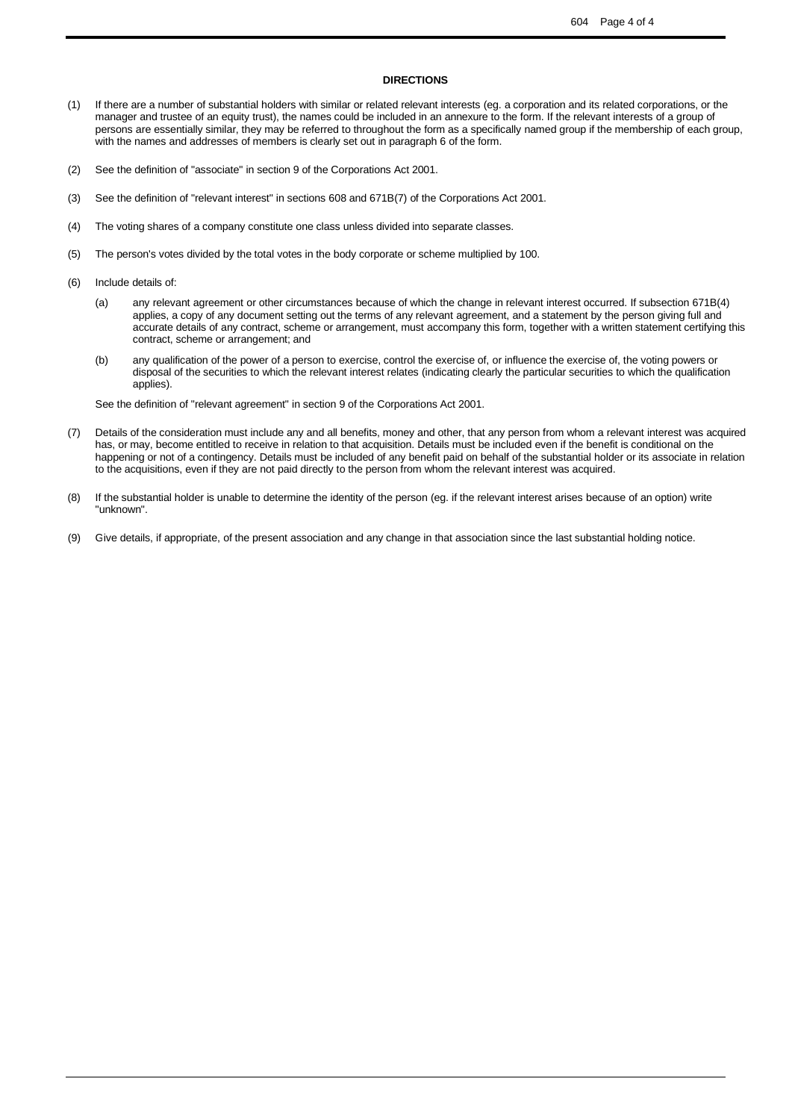í

#### **DIRECTIONS**

- (1) If there are a number of substantial holders with similar or related relevant interests (eg. a corporation and its related corporations, or the manager and trustee of an equity trust), the names could be included in an annexure to the form. If the relevant interests of a group of persons are essentially similar, they may be referred to throughout the form as a specifically named group if the membership of each group, with the names and addresses of members is clearly set out in paragraph 6 of the form.
- (2) See the definition of "associate" in section 9 of the Corporations Act 2001.
- (3) See the definition of "relevant interest" in sections 608 and 671B(7) of the Corporations Act 2001.
- (4) The voting shares of a company constitute one class unless divided into separate classes.
- (5) The person's votes divided by the total votes in the body corporate or scheme multiplied by 100.
- (6) Include details of:
	- (a) any relevant agreement or other circumstances because of which the change in relevant interest occurred. If subsection 671B(4) applies, a copy of any document setting out the terms of any relevant agreement, and a statement by the person giving full and accurate details of any contract, scheme or arrangement, must accompany this form, together with a written statement certifying this contract, scheme or arrangement; and
	- (b) any qualification of the power of a person to exercise, control the exercise of, or influence the exercise of, the voting powers or disposal of the securities to which the relevant interest relates (indicating clearly the particular securities to which the qualification applies).

See the definition of "relevant agreement" in section 9 of the Corporations Act 2001.

- (7) Details of the consideration must include any and all benefits, money and other, that any person from whom a relevant interest was acquired has, or may, become entitled to receive in relation to that acquisition. Details must be included even if the benefit is conditional on the happening or not of a contingency. Details must be included of any benefit paid on behalf of the substantial holder or its associate in relation to the acquisitions, even if they are not paid directly to the person from whom the relevant interest was acquired.
- (8) If the substantial holder is unable to determine the identity of the person (eg. if the relevant interest arises because of an option) write "unknown".
- (9) Give details, if appropriate, of the present association and any change in that association since the last substantial holding notice.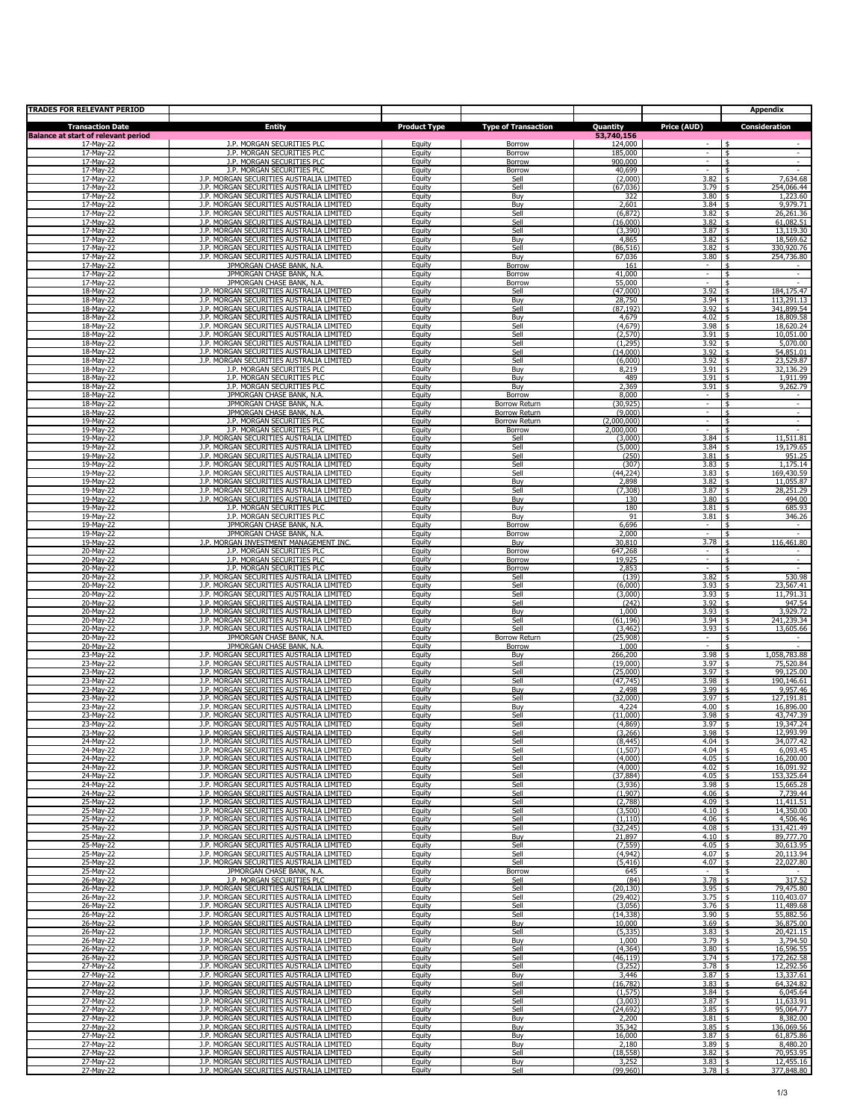| TRADES FOR RELEVANT PERIOD                 |                                                                                      |                     |                                       |                        |                                    | <b>Appendix</b>                                            |
|--------------------------------------------|--------------------------------------------------------------------------------------|---------------------|---------------------------------------|------------------------|------------------------------------|------------------------------------------------------------|
| <b>Transaction Date</b>                    | <b>Entity</b>                                                                        | <b>Product Type</b> | <b>Type of Transaction</b>            | Quantity               | Price (AUD)                        | Consideration                                              |
| <b>Balance at start of relevant period</b> |                                                                                      |                     |                                       | 53,740,156             |                                    | \$                                                         |
| 17-May-22<br>17-May-22                     | J.P. MORGAN SECURITIES PLC<br>J.P. MORGAN SECURITIES PLC                             | Equity<br>Equity    | Borrow<br>Borrow                      | 124,000<br>185,000     | $\overline{\phantom{a}}$           | $\blacksquare$<br>\$                                       |
| 17-May-22<br>17-May-22                     | J.P. MORGAN SECURITIES PLC<br>J.P. MORGAN SECURITIES PLC                             | Equity              | Borrow                                | 900,000<br>40,699      | $\overline{\phantom{a}}$<br>$\sim$ | $\overline{\phantom{a}}$<br>\$<br>$\overline{\phantom{a}}$ |
| 17-May-22                                  | J.P. MORGAN SECURITIES AUSTRALIA LIMITED                                             | Equity<br>Equity    | Borrow<br>Sell                        | (2,000)                | 3.82                               | \$<br>7,634.68<br>\$                                       |
| 17-May-22<br>17-May-22                     | J.P. MORGAN SECURITIES AUSTRALIA LIMITED<br>J.P. MORGAN SECURITIES AUSTRALIA LIMITED | Equity<br>Equity    | Sell<br>Buy                           | (67, 036)<br>322       | 3.79<br>3.80                       | 254,066.44<br>\$<br>1,223.60<br>-\$                        |
| 17-May-22                                  | J.P. MORGAN SECURITIES AUSTRALIA LIMITED                                             | Equity              | Buy                                   | 2,601                  | 3.84                               | 9,979.71<br>l \$                                           |
| 17-May-22<br>17-May-22                     | J.P. MORGAN SECURITIES AUSTRALIA LIMITED<br>J.P. MORGAN SECURITIES AUSTRALIA LIMITED | Equity<br>Equity    | Sell<br>Sell                          | (6, 872)<br>(16,000)   | $3.82 \pm 1$<br>$3.82 \quad$ \$    | 26,261.36<br>61,082.51                                     |
| 17-May-22                                  | J.P. MORGAN SECURITIES AUSTRALIA LIMITED                                             | Equity              | Sell                                  | (3,390)                | $3.87$ \$                          | 13,119.30                                                  |
| 17-May-22<br>17-May-22                     | J.P. MORGAN SECURITIES AUSTRALIA LIMITED<br>J.P. MORGAN SECURITIES AUSTRALIA LIMITED | Equity              | Buy<br>Sell                           | 4,865<br>(86, 516)     | 3.82<br>3.82                       | ¢<br>18,569.62<br>330,920.76<br>\$                         |
| 17-May-22                                  | J.P. MORGAN SECURITIES AUSTRALIA LIMITED                                             | Equity<br>Equity    | Buy                                   | 67,036                 | 3.80                               | 254,736.80<br>\$                                           |
| 17-May-22<br>17-May-22                     | JPMORGAN CHASE BANK, N.A.<br>JPMORGAN CHASE BANK, N.A.                               | Equity              | <b>Borrow</b>                         | 161<br>41,000          | $\sim$<br>$\sim$                   | \$<br>$\omega$<br>\$                                       |
| 17-May-22                                  | JPMORGAN CHASE BANK, N.A.                                                            | Equity<br>Equity    | Borrow<br>Borrow                      | 55,000                 | $\omega$                           | $\omega$                                                   |
| 18-May-22<br>18-May-22                     | J.P. MORGAN SECURITIES AUSTRALIA LIMITED<br>J.P. MORGAN SECURITIES AUSTRALIA LIMITED | Equity              | Sell                                  | (47,000)               | 3.92<br>3.94                       | 184,175.47                                                 |
| 18-May-22                                  | J.P. MORGAN SECURITIES AUSTRALIA LIMITED                                             | Equity<br>Equity    | Buy<br>Sell                           | 28,750<br>(87, 192)    | 3.92                               | 113,291.13<br>341,899.54<br>\$                             |
| 18-May-22<br>18-May-22                     | J.P. MORGAN SECURITIES AUSTRALIA LIMITED<br>J.P. MORGAN SECURITIES AUSTRALIA LIMITED | Equity              | Buy<br>Sell                           | 4,679                  | 4.02<br>3.98                       | 18,809.58<br>\$                                            |
| 18-May-22                                  | J.P. MORGAN SECURITIES AUSTRALIA LIMITED                                             | Equity<br>Equity    | Sell                                  | (4, 679)<br>(2,570)    | 3.91                               | 18,620.24<br>\$<br>10,051.00<br>\$                         |
| 18-May-22                                  | J.P. MORGAN SECURITIES AUSTRALIA LIMITED                                             | Equity              | Sell                                  | (1, 295)               | 3.92                               | 5,070.00<br>\$                                             |
| 18-May-22<br>18-May-22                     | J.P. MORGAN SECURITIES AUSTRALIA LIMITED<br>J.P. MORGAN SECURITIES AUSTRALIA LIMITED | Equity<br>Equity    | Sell<br>Sell                          | (14,000)<br>(6,000)    | 3.92<br>3.92                       | 54,851.01<br>\$<br>23,529.87<br>\$                         |
| 18-May-22                                  | J.P. MORGAN SECURITIES PLC                                                           | Equity              | Buy                                   | 8,219                  | 3.91                               | 32,136.29<br>-\$                                           |
| 18-May-22<br>18-May-22                     | J.P. MORGAN SECURITIES PLC<br>J.P. MORGAN SECURITIES PLC                             | Equity<br>Equity    | Buy<br>Buy                            | 489<br>2,369           | 3.91<br>3.91                       | 1,911.99<br>\$<br>9,262.79<br>\$                           |
| 18-May-22                                  | JPMORGAN CHASE BANK, N.A.                                                            | Equity              | Borrow                                | 8,000                  | ٠                                  | \$<br>$\overline{\phantom{a}}$                             |
| 18-May-22<br>18-May-22                     | JPMORGAN CHASE BANK, N.A.<br>JPMORGAN CHASE BANK, N.A.                               | Equity<br>Equity    | Borrow Return<br><b>Borrow Return</b> | (30, 925)<br>(9,000)   | $\sim$<br>$\overline{\phantom{a}}$ | \$<br>$\sim$<br>$\sim$<br>-\$                              |
| 19-May-22                                  | J.P. MORGAN SECURITIES PLC                                                           | Equity              | <b>Borrow Return</b>                  | (2,000,000)            | $\sim$<br>$\sim$                   | $\sim$<br>-\$                                              |
| 19-May-22<br>19-May-22                     | J.P. MORGAN SECURITIES PLC<br>J.P. MORGAN SECURITIES AUSTRALIA LIMITED               | Equity<br>Equity    | Borrow<br>Sell                        | 2,000,000<br>(3,000)   | 3.84                               | \$<br>$\sim$<br>11,511.81<br>\$                            |
| 19-May-22                                  | J.P. MORGAN SECURITIES AUSTRALIA LIMITED                                             | Equity              | Sell                                  | (5,000)                | 3.84                               | 19,179.65<br>\$                                            |
| 19-May-22<br>19-May-22                     | J.P. MORGAN SECURITIES AUSTRALIA LIMITED<br>J.P. MORGAN SECURITIES AUSTRALIA LIMITED | Equity<br>Equity    | Sell<br>Sell                          | (250)<br>(307)         | 3.81<br>3.83                       | 951.25<br>¢<br>1,175.14<br>\$                              |
| 19-May-22                                  | J.P. MORGAN SECURITIES AUSTRALIA LIMITED                                             | Equity              | Sell                                  | (44, 224)              | 3.83                               | 169,430.59<br>\$                                           |
| 19-May-22<br>19-May-22                     | J.P. MORGAN SECURITIES AUSTRALIA LIMITED<br>J.P. MORGAN SECURITIES AUSTRALIA LIMITED | Equity<br>Equity    | Buy<br>Sell                           | 2,898<br>(7, 308)      | 3.82<br>3.87                       | 11,055.87<br>\$<br>28,251.29<br>\$                         |
| 19-May-22                                  | J.P. MORGAN SECURITIES AUSTRALIA LIMITED                                             | Equity              | Buy                                   | 130                    | 3.80                               | 494.00<br>\$                                               |
| 19-May-22<br>19-May-22                     | J.P. MORGAN SECURITIES PLC<br>J.P. MORGAN SECURITIES PLC                             | Equity<br>Equity    | Buy<br>Buy                            | 180<br>91              | 3.81<br>3.81                       | 685.93<br>346.26                                           |
| 19-May-22                                  | JPMORGAN CHASE BANK, N.A.                                                            | Equity              | Borrow                                | 6,696                  | $\overline{\phantom{a}}$<br>$\sim$ | $\overline{\phantom{a}}$<br>Ŝ                              |
| 19-May-22<br>19-May-22                     | JPMORGAN CHASE BANK, N.A.<br>J.P. MORGAN INVESTMENT MANAGEMENT INC.                  | Equity<br>Equity    | Borrow<br>Buy                         | 2,000<br>30,810        | 3.78                               | $\sim$<br>\$<br>116,461.80<br>\$                           |
| 20-May-22                                  | J.P. MORGAN SECURITIES PLC                                                           | Equity              | Borrow                                | 647,268                |                                    | \$                                                         |
| 20-May-22<br>20-May-22                     | J.P. MORGAN SECURITIES PLC<br>J.P. MORGAN SECURITIES PLC                             | Equity<br>Equity    | Borrow<br>Borrow                      | 19,925<br>2,853        | $\sim$                             | $\overline{\phantom{a}}$<br>\$<br>\$                       |
| 20-May-22                                  | J.P. MORGAN SECURITIES AUSTRALIA LIMITED                                             | Equity              | Sell                                  | (139)                  | 3.82                               | 530.98<br>\$                                               |
| 20-May-22<br>20-May-22                     | J.P. MORGAN SECURITIES AUSTRALIA LIMITED<br>J.P. MORGAN SECURITIES AUSTRALIA LIMITED | Equity<br>Equity    | Sell<br>Sell                          | (6,000)<br>(3,000)     | 3.93<br>3.93                       | 23,567.41<br>\$<br>11,791.31<br>\$                         |
| 20-May-22                                  | J.P. MORGAN SECURITIES AUSTRALIA LIMITED                                             | Equity              | Sell                                  | (242)                  | 3.92                               | 947.54<br>\$                                               |
| 20-May-22<br>20-May-22                     | J.P. MORGAN SECURITIES AUSTRALIA LIMITED<br>J.P. MORGAN SECURITIES AUSTRALIA LIMITED | Equity<br>Equity    | Buy<br>Sell                           | 1,000<br>(61, 196)     | 3.93<br>3.94                       | 3,929.72<br>\$<br>241,239.34<br>\$                         |
| 20-May-22                                  | J.P. MORGAN SECURITIES AUSTRALIA LIMITED                                             | Equity              | Sell                                  | (3, 462)               | 3.93                               | 13,605.66<br>- \$                                          |
| 20-May-22<br>20-May-22                     | JPMORGAN CHASE BANK, N.A.<br>JPMORGAN CHASE BANK, N.A.                               | Equity<br>Equity    | Borrow Return<br>Borrow               | (25,908)<br>1,000      | $\sim$<br>$\sim$                   | - \$<br>$\sim$<br>\$<br>$\sim$                             |
| 23-May-22                                  | J.P. MORGAN SECURITIES AUSTRALIA LIMITED                                             | Equity              | Buy                                   | 266,200                | 3.98                               | 1,058,783.88<br>l \$                                       |
| 23-May-22<br>23-May-22                     | J.P. MORGAN SECURITIES AUSTRALIA LIMITED<br>J.P. MORGAN SECURITIES AUSTRALIA LIMITED | Equity<br>Equity    | Sell<br>Sell                          | (19,000)<br>(25,000)   | 3.97<br>3.97                       | 75,520.84<br>l \$<br>99,125.00<br>¢                        |
| 23-May-22                                  | J.P. MORGAN SECURITIES AUSTRALIA LIMITED                                             | Equity              | Sell                                  | (47, 745)              | 3.98                               | 190,146.61<br>\$                                           |
| 23-May-22<br>23-May-22                     | J.P. MORGAN SECURITIES AUSTRALIA LIMITED<br>J.P. MORGAN SECURITIES AUSTRALIA LIMITED | Equity<br>Equity    | Buy<br>Sell                           | 2,498<br>(32,000)      | 3.99<br>3.97                       | 9,957.46<br>\$<br>127,191.81                               |
| 23-May-22                                  | J.P. MORGAN SECURITIES AUSTRALIA LIMITED                                             | Equity              | Buy                                   | 4,224                  | 4.00                               | 16,896.00                                                  |
| 23-May-22<br>23-May-22                     | J.P. MORGAN SECURITIES AUSTRALIA LIMITED<br>J.P. MORGAN SECURITIES AUSTRALIA LIMITED | Equity<br>Equity    | Sell<br>Sell                          | (11,000)<br>(4,869)    | 3.98<br>3.97                       | 43,747.39<br>19,347.24<br>\$                               |
| 23-May-22                                  | J.P. MORGAN SECURITIES AUSTRALIA LIMITED                                             | Equity              | Sell                                  | (3,266)                | 3.98                               | 12,993.99<br>- \$                                          |
| 24-May-22<br>24-May-22                     | J.P. MORGAN SECURITIES AUSTRALIA LIMITED<br>J.P. MORGAN SECURITIES AUSTRALIA LIMITED | Equity<br>Equity    | Sell<br>Sell                          | (8, 445)<br>(1, 507)   | 4.04<br>4.04                       | 34,077.42<br>5<br>6,093.45                                 |
| 24-Mav-22                                  | J.P. MORGAN SECURITIES AUSTRALIA LIMITED                                             | Equity              | Sell                                  | (4,000)                | 4.05                               | 16,200.00<br>5                                             |
| 24-May-22<br>24-May-22                     | J.P. MORGAN SECURITIES AUSTRALIA LIMITED<br>J.P. MORGAN SECURITIES AUSTRALIA LIMITED | Equity<br>Equity    | Sell<br>Sell                          | (4,000)<br>(37, 884)   | 4.02<br>4.05                       | 16,091.92<br>\$<br>153,325.64<br>\$                        |
| 24-May-22                                  | J.P. MORGAN SECURITIES AUSTRALIA LIMITED<br>J.P. MORGAN SECURITIES AUSTRALIA LIMITED | Equity<br>Equity    | Sell<br>Sell                          | (3,936)<br>(1,907)     | 3.98<br>4.06                       | 15,665.28<br>\$<br>- \$                                    |
| 24-May-22<br>25-May-22                     | J.P. MORGAN SECURITIES AUSTRALIA LIMITED                                             | Equity              | Sell                                  | (2,788)                | 4.09                               | 7,739.44<br>11,411.51<br>\$                                |
| 25-May-22<br>25-May-22                     | J.P. MORGAN SECURITIES AUSTRALIA LIMITED<br>J.P. MORGAN SECURITIES AUSTRALIA LIMITED | Equity<br>Equity    | Sell<br>Sell                          | (3,500)<br>(1,110)     | 4.10<br>4.06                       | 14,350.00<br>\$<br>4,506.46                                |
| 25-May-22                                  | J.P. MORGAN SECURITIES AUSTRALIA LIMITED                                             | Equity              | Sell                                  | (32, 245)              | 4.08                               | \$<br>131,421.49<br>-\$                                    |
| 25-May-22<br>25-May-22                     | J.P. MORGAN SECURITIES AUSTRALIA LIMITED<br>J.P. MORGAN SECURITIES AUSTRALIA LIMITED | Equity<br>Equity    | Buy<br>Sell                           | 21,897<br>(7, 559)     | 4.10<br>4.05                       | 89,777.70<br>5<br>30,613.95<br>- \$                        |
| 25-May-22                                  | J.P. MORGAN SECURITIES AUSTRALIA LIMITED                                             | Equity              | Sell                                  | (4,942)                | 4.07                               | 20,113.94<br>l \$                                          |
| 25-May-22<br>25-May-22                     | J.P. MORGAN SECURITIES AUSTRALIA LIMITED<br>JPMORGAN CHASE BANK, N.A.                | Equity<br>Equity    | Sell<br>Borrow                        | (5, 416)<br>645        | $4.07$ \$                          | 22,027.80<br>\$                                            |
| 26-May-22                                  | J.P. MORGAN SECURITIES PLC                                                           | Equity              | Sell                                  | (84)                   | 3.78                               | 317.52<br>5                                                |
| 26-May-22<br>26-May-22                     | J.P. MORGAN SECURITIES AUSTRALIA LIMITED<br>J.P. MORGAN SECURITIES AUSTRALIA LIMITED | Equity<br>Equity    | Sell<br>Sell                          | (20, 130)<br>(29, 402) | 3.95<br>3.75                       | 79,475.80<br>\$<br>110,403.07<br>- \$                      |
| 26-May-22                                  | J.P. MORGAN SECURITIES AUSTRALIA LIMITED                                             | Equity              | Sell                                  | (3,056)                | 3.76                               | 11,489.68<br>\$                                            |
| 26-May-22<br>26-May-22                     | J.P. MORGAN SECURITIES AUSTRALIA LIMITED<br>J.P. MORGAN SECURITIES AUSTRALIA LIMITED | Equity<br>Equity    | Sell<br>Buy                           | (14, 338)<br>10,000    | 3.90<br>3.69                       | 55,882.56<br>\$<br>36,875.00<br>\$                         |
| 26-May-22                                  | J.P. MORGAN SECURITIES AUSTRALIA LIMITED                                             | Equity              | Sell                                  | (5, 335)               | 3.83                               | 20,421.15<br>\$                                            |
| 26-May-22<br>26-May-22                     | J.P. MORGAN SECURITIES AUSTRALIA LIMITED<br>J.P. MORGAN SECURITIES AUSTRALIA LIMITED | Equity<br>Equity    | Buy<br>Sell                           | 1,000<br>(4, 364)      | 3.79<br>3.80                       | 3,794.50<br>\$<br>16,596.55<br>\$                          |
| 26-May-22                                  | J.P. MORGAN SECURITIES AUSTRALIA LIMITED                                             | Equity              | Sell                                  | (46, 119)              | 3.74                               | 172,262.58<br>\$                                           |
| 27-May-22<br>27-May-22                     | J.P. MORGAN SECURITIES AUSTRALIA LIMITED<br>J.P. MORGAN SECURITIES AUSTRALIA LIMITED | Equity<br>Equity    | Sell<br>Buy                           | (3,252)<br>3,446       | 3.78<br>3.87                       | 12,292.56<br>5<br>13,337.61<br>l \$                        |
| 27-May-22                                  | J.P. MORGAN SECURITIES AUSTRALIA LIMITED                                             | Equity              | Sell                                  | (16, 782)              | 3.83                               | 64,324.82<br>\$                                            |
| 27-May-22<br>27-May-22                     | J.P. MORGAN SECURITIES AUSTRALIA LIMITED<br>J.P. MORGAN SECURITIES AUSTRALIA LIMITED | Equity<br>Equity    | Sell<br>Sell                          | (1, 575)<br>(3,003)    | 3.84<br>3.87                       | 6,045.64<br>\$<br>11,633.91<br>\$                          |
| 27-May-22                                  | J.P. MORGAN SECURITIES AUSTRALIA LIMITED                                             | Equity              | Sell                                  | (24, 692)              | 3.85                               | 95,064.77<br>\$                                            |
| 27-May-22<br>27-May-22                     | J.P. MORGAN SECURITIES AUSTRALIA LIMITED<br>J.P. MORGAN SECURITIES AUSTRALIA LIMITED | Equity<br>Equity    | Buy<br>Buy                            | 2,200<br>35,342        | 3.81<br>3.85                       | 8,382.00<br>\$<br>136,069.56<br>$\frac{1}{2}$              |
| 27-May-22                                  | J.P. MORGAN SECURITIES AUSTRALIA LIMITED                                             | Equity              | Buy                                   | 16,000                 | 3.87                               | 61,875.86<br>ا\$                                           |
| 27-May-22<br>27-May-22                     | J.P. MORGAN SECURITIES AUSTRALIA LIMITED<br>J.P. MORGAN SECURITIES AUSTRALIA LIMITED | Equity<br>Equity    | Buy<br>Sell                           | 2,180<br>(18, 558)     | 3.89<br>3.82                       | 8,480.20<br>l \$<br>70,953.95<br>l \$                      |
| 27-May-22                                  | J.P. MORGAN SECURITIES AUSTRALIA LIMITED                                             | Equity              | Buy                                   | 3,252                  | $3.83 \pm$                         | 12,455.16                                                  |
| 27-May-22                                  | J.P. MORGAN SECURITIES AUSTRALIA LIMITED                                             | Equity              | Sell                                  | (99,960)               | $3.78$ \$                          | 377,848.80                                                 |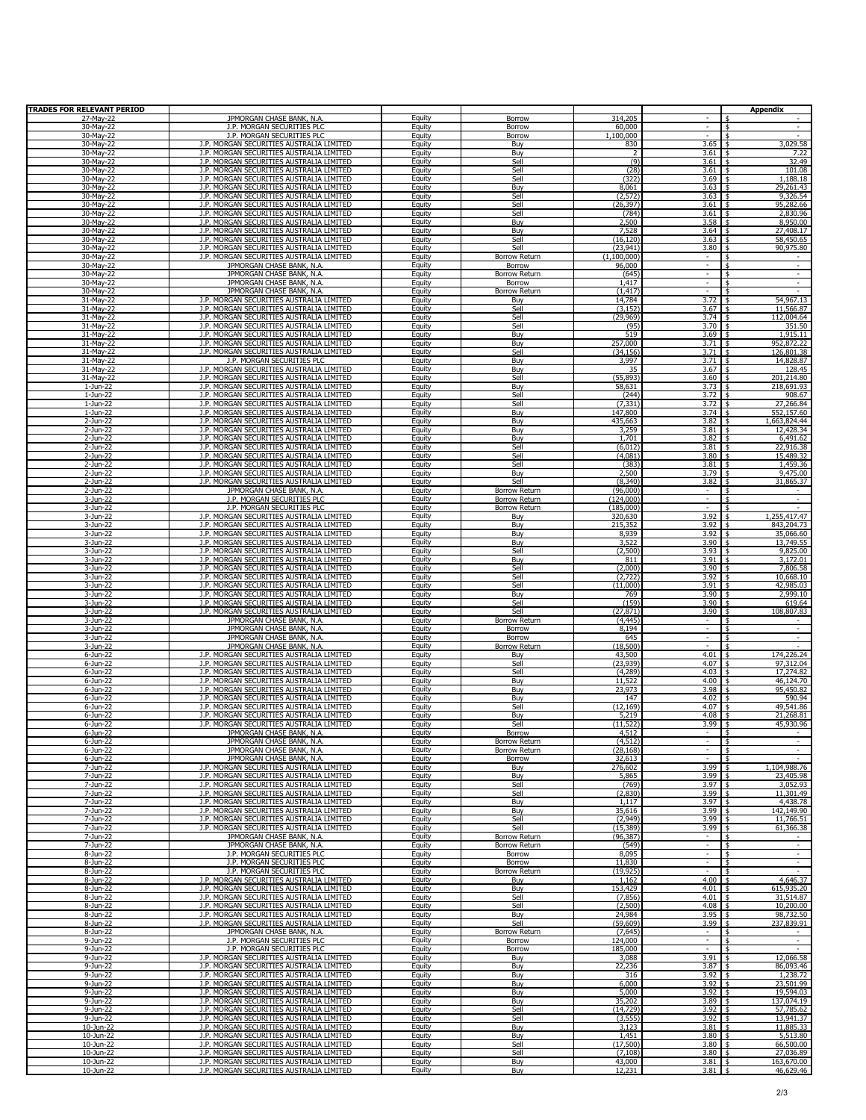| <b>TRADES FOR RELEVANT PERIOD</b> |                                                                                      |                         |                                |                          |                                                      | <b>Appendix</b>                                                   |
|-----------------------------------|--------------------------------------------------------------------------------------|-------------------------|--------------------------------|--------------------------|------------------------------------------------------|-------------------------------------------------------------------|
| 27-May-22<br>30-May-22            | JPMORGAN CHASE BANK, N.A.<br>J.P. MORGAN SECURITIES PLC                              | Equity<br>Equity        | <b>Borrow</b><br>Borrow        | 314,205<br>60,000        | ÷<br>$\mathcal{L}_{\mathcal{A}}$                     | $\overline{\mathbf{5}}$<br>$\sim$                                 |
| 30-May-22                         | J.P. MORGAN SECURITIES PLC                                                           | Equity                  | Borrow                         | 1,100,000                | $\sim$                                               | $\ddot{\phantom{1}}$                                              |
| 30-May-22                         | J.P. MORGAN SECURITIES AUSTRALIA LIMITED                                             | Equity                  | Buy                            | 830                      | 3.65                                                 | 3,029.58                                                          |
| 30-May-22<br>30-May-22            | J.P. MORGAN SECURITIES AUSTRALIA LIMITED<br>J.P. MORGAN SECURITIES AUSTRALIA LIMITED | Equity<br>Equity        | Buy<br>Sell                    | 2<br>(9)                 | 3.61<br>3.61                                         | 7.22<br>32.49                                                     |
| 30-May-22                         | J.P. MORGAN SECURITIES AUSTRALIA LIMITED                                             | Equity                  | Sell                           | (28)                     | 3.61                                                 | 101.08                                                            |
| 30-Mav-22                         | J.P. MORGAN SECURITIES AUSTRALIA LIMITED<br>J.P. MORGAN SECURITIES AUSTRALIA LIMITED | Equity                  | Sell                           | (322)                    | 3.69                                                 | 1,188.18                                                          |
| 30-May-22<br>30-May-22            | J.P. MORGAN SECURITIES AUSTRALIA LIMITED                                             | Equity<br>Equity        | Buy<br>Sell                    | 8,061<br>(2, 572)        | 3.63<br>3.63                                         | 29,261.43<br>9,326.54                                             |
| 30-May-22                         | J.P. MORGAN SECURITIES AUSTRALIA LIMITED                                             | Equity                  | Sell                           | (26, 397)                | 3.61                                                 | 95,282.66                                                         |
| 30-May-22                         | J.P. MORGAN SECURITIES AUSTRALIA LIMITED<br>J.P. MORGAN SECURITIES AUSTRALIA LIMITED | Equity                  | Sell                           | (784)<br>2,500           | 3.61<br>3.58                                         | 2,830.96<br>l \$<br>8,950.00<br>l \$                              |
| 30-May-22<br>30-May-22            | J.P. MORGAN SECURITIES AUSTRALIA LIMITED                                             | Equity<br>Equity        | Buy<br>Buy                     | 7,528                    | $3.64$ \$                                            | 27,408.17                                                         |
| 30-May-22                         | J.P. MORGAN SECURITIES AUSTRALIA LIMITED                                             | Equity                  | Sell                           | (16, 120)                | 3.63                                                 | 58,450.65<br>l \$                                                 |
| 30-May-22<br>30-May-22            | J.P. MORGAN SECURITIES AUSTRALIA LIMITED<br>J.P. MORGAN SECURITIES AUSTRALIA LIMITED | Equity<br>Equity        | Sell<br>Borrow Return          | (23, 941)<br>(1,100,000) | 3.80<br>$\sim$                                       | 90,975.80                                                         |
| 30-May-22                         | JPMORGAN CHASE BANK, N.A.                                                            | Equity                  | Borrow                         | 96,000                   | $\sim$                                               | \$<br>$\overline{\phantom{a}}$                                    |
| 30-May-22                         | JPMORGAN CHASE BANK, N.A.                                                            | Equity                  | Borrow Return                  | (645)                    | $\overline{\phantom{a}}$                             | $\overline{\phantom{a}}$                                          |
| 30-May-22<br>30-May-22            | JPMORGAN CHASE BANK, N.A.<br>JPMORGAN CHASE BANK, N.A.                               | Equity<br>Equity        | Borrow<br><b>Borrow Return</b> | 1,417<br>(1, 417)        | $\overline{\phantom{a}}$<br>$\sim$                   | $\overline{\phantom{a}}$<br>$\sim$                                |
| 31-May-22                         | J.P. MORGAN SECURITIES AUSTRALIA LIMITED                                             | Equity                  | Buy                            | 14,784                   | 3.72                                                 | 54,967.13                                                         |
| 31-May-22                         | J.P. MORGAN SECURITIES AUSTRALIA LIMITED                                             | Equity                  | Sell                           | (3, 152)                 | 3.67                                                 | 11,566.87                                                         |
| 31-May-22<br>31-May-22            | J.P. MORGAN SECURITIES AUSTRALIA LIMITED<br>J.P. MORGAN SECURITIES AUSTRALIA LIMITED | Equity<br>Equity        | Sell<br>Sell                   | (29, 969)<br>(95)        | 3.74<br>3.70                                         | 112,004.64<br>351.50                                              |
| 31-May-22                         | J.P. MORGAN SECURITIES AUSTRALIA LIMITED                                             | Equity                  | Buy                            | 519                      | 3.69                                                 | 1,915.11                                                          |
| 31-May-22                         | J.P. MORGAN SECURITIES AUSTRALIA LIMITED<br>J.P. MORGAN SECURITIES AUSTRALIA LIMITED | Equity                  | Buy                            | 257,000<br>(34, 156)     | 3.71<br>3.71                                         | 952,872.22<br>l \$<br>126,801.38                                  |
| 31-May-22<br>31-May-22            | J.P. MORGAN SECURITIES PLC                                                           | Equity<br>Equity        | Sell<br>Buy                    | 3,997                    | 3.71                                                 | 14,828.87                                                         |
| 31-May-22                         | J.P. MORGAN SECURITIES AUSTRALIA LIMITED                                             | Equity                  | Buy                            | 35                       | 3.67                                                 | 128.45                                                            |
| 31-May-22<br>1-Jun-22             | J.P. MORGAN SECURITIES AUSTRALIA LIMITED<br>J.P. MORGAN SECURITIES AUSTRALIA LIMITED | Equity<br>Equity        | Sell<br>Buy                    | (55, 893)<br>58,631      | 3.60<br>3.73                                         | 201,214.80<br>218,691.93                                          |
| 1-Jun-22                          | J.P. MORGAN SECURITIES AUSTRALIA LIMITED                                             | Equity                  | Sell                           | (244)                    | 3.72                                                 | 908.67                                                            |
| 1-Jun-22                          | J.P. MORGAN SECURITIES AUSTRALIA LIMITED                                             | Equity                  | Sell                           | (7, 331)                 | 3.72                                                 | 27,266.84                                                         |
| 1-Jun-22<br>2-Jun-22              | J.P. MORGAN SECURITIES AUSTRALIA LIMITED<br>J.P. MORGAN SECURITIES AUSTRALIA LIMITED | Equity<br>Equity        | Buy<br>Buy                     | 147,800<br>435,663       | 3.74<br>3.82                                         | 552,157.60<br>1,663,824.44                                        |
| 2-Jun-22                          | J.P. MORGAN SECURITIES AUSTRALIA LIMITED                                             | Equity                  | Buy                            | 3,259                    | 3.81                                                 | 12,428.34                                                         |
| 2-Jun-22                          | J.P. MORGAN SECURITIES AUSTRALIA LIMITED                                             | Equity                  | Buy                            | 1,701                    | 3.82                                                 | 6,491.62                                                          |
| 2-Jun-22<br>2-Jun-22              | J.P. MORGAN SECURITIES AUSTRALIA LIMITED<br>J.P. MORGAN SECURITIES AUSTRALIA LIMITED | <b>Equity</b><br>Equity | Sell<br>Sell                   | (6, 012)<br>(4,081)      | 3.81<br>$3.80$   \$                                  | 22,916.38<br>l \$<br>15,489.32                                    |
| 2-Jun-22                          | J.P. MORGAN SECURITIES AUSTRALIA LIMITED                                             | Equity                  | Sell                           | (383)                    | 3.81                                                 | 1,459.36                                                          |
| 2-Jun-22                          | J.P. MORGAN SECURITIES AUSTRALIA LIMITED<br>J.P. MORGAN SECURITIES AUSTRALIA LIMITED | Equity<br>Equity        | Buy                            | 2,500<br>(8, 340)        | 3.79<br>3.82                                         | 9,475.00<br>- \$                                                  |
| 2-Jun-22<br>2-Jun-22              | JPMORGAN CHASE BANK, N.A.                                                            | Equity                  | Sell<br><b>Borrow Return</b>   | (96,000)                 | $\overline{\phantom{a}}$                             | 31,865.37<br>-\$                                                  |
| 3-Jun-22                          | J.P. MORGAN SECURITIES PLC                                                           | Equity                  | <b>Borrow Return</b>           | (124,000)                | $\overline{\phantom{a}}$                             | -\$<br>$\overline{\phantom{a}}$                                   |
| 3-Jun-22<br>3-Jun-22              | J.P. MORGAN SECURITIES PLC<br>J.P. MORGAN SECURITIES AUSTRALIA LIMITED               | Equity<br>Equity        | Borrow Return<br>Buy           | (185,000)<br>320,630     | $\bar{a}$<br>3.92                                    | 1,255,417.47                                                      |
| 3-Jun-22                          | J.P. MORGAN SECURITIES AUSTRALIA LIMITED                                             | Equity                  | Buy                            | 215,352                  | 3.92                                                 | 843,204.73                                                        |
| 3-Jun-22                          | J.P. MORGAN SECURITIES AUSTRALIA LIMITED                                             | Equity                  | Buy                            | 8,939                    | 3.92                                                 | 35,066.60                                                         |
| 3-Jun-22<br>3-Jun-22              | J.P. MORGAN SECURITIES AUSTRALIA LIMITED<br>J.P. MORGAN SECURITIES AUSTRALIA LIMITED | Equity<br>Equity        | Buy<br>Sell                    | 3,522<br>(2,500)         | 3.90<br>3.93                                         | 13,749.55<br>9,825.00                                             |
| 3-Jun-22                          | J.P. MORGAN SECURITIES AUSTRALIA LIMITED                                             | Equity                  | Buy                            | 811                      | 3.91                                                 | 3,172.01<br>\$                                                    |
| 3-Jun-22                          | J.P. MORGAN SECURITIES AUSTRALIA LIMITED<br>J.P. MORGAN SECURITIES AUSTRALIA LIMITED | Equity                  | Sell                           | (2,000)                  | 3.90<br>3.92                                         | 7,806.58                                                          |
| 3-Jun-22<br>3-Jun-22              | J.P. MORGAN SECURITIES AUSTRALIA LIMITED                                             | Equity<br>Equity        | Sell<br>Sell                   | (2,722)<br>(11,000)      | 3.91                                                 | 10,668.10<br>42,985.03                                            |
| 3-Jun-22                          | J.P. MORGAN SECURITIES AUSTRALIA LIMITED                                             | Equity                  | Buy                            | 769                      | 3.90                                                 | 2,999.10                                                          |
| 3-Jun-22<br>3-Jun-22              | J.P. MORGAN SECURITIES AUSTRALIA LIMITED<br>J.P. MORGAN SECURITIES AUSTRALIA LIMITED | Equity<br>Equity        | Sell<br>Sell                   | (159)<br>(27, 871)       | 3.90<br>3.90                                         | 619.64<br>108,807.83                                              |
| 3-Jun-22                          | JPMORGAN CHASE BANK, N.A.                                                            | Equity                  | Borrow Return                  | (4, 445)                 |                                                      |                                                                   |
| 3-Jun-22                          | JPMORGAN CHASE BANK, N.A.                                                            | Equity                  | Borrow                         | 8,194                    | $\blacksquare$                                       | $\overline{\phantom{a}}$                                          |
| 3-Jun-22<br>3-Jun-22              | JPMORGAN CHASE BANK, N.A.<br>JPMORGAN CHASE BANK, N.A.                               | Equity<br>Equity        | Borrow<br>Borrow Return        | 645<br>(18, 500)         | $\overline{\phantom{a}}$<br>$\overline{\phantom{a}}$ | $\overline{\phantom{a}}$<br>-5<br>\$<br>$\sim$                    |
| 6-Jun-22                          | J.P. MORGAN SECURITIES AUSTRALIA LIMITED                                             | Equity                  | Buy                            | 43,500                   | 4.01                                                 | 174,226.24<br>\$                                                  |
| 6-Jun-22<br>6-Jun-22              | J.P. MORGAN SECURITIES AUSTRALIA LIMITED<br>J.P. MORGAN SECURITIES AUSTRALIA LIMITED | Equity<br>Equity        | Sell<br>Sell                   | (23, 939)<br>(4, 289)    | 4.07<br>4.03                                         | 97,312.04<br>-5<br>17,274.82                                      |
| 6-Jun-22                          | J.P. MORGAN SECURITIES AUSTRALIA LIMITED                                             | Equity                  | Buy                            | 11,522                   | 4.00                                                 | 46,124.70                                                         |
| 6-Jun-22                          | J.P. MORGAN SECURITIES AUSTRALIA LIMITED                                             | Equity                  | Buy                            | 23,973                   | $3.98$   \$                                          | 95,450.82                                                         |
| 6-Jun-22<br>6-Jun-22              | J.P. MORGAN SECURITIES AUSTRALIA LIMITED<br>J.P. MORGAN SECURITIES AUSTRALIA LIMITED | Equity<br>Equity        | Buy<br>Sell                    | 147<br>(12, 169)         | $4.02 \mid$ \$<br>4.07                               | 590.94<br>49,541.86<br>l \$                                       |
| 6-Jun-22                          | J.P. MORGAN SECURITIES AUSTRALIA LIMITED                                             | Equity                  | Buy                            | 5,219                    | 4.08                                                 | 21,268.81<br>- \$                                                 |
| 6-Jun-22                          | J.P. MORGAN SECURITIES AUSTRALIA LIMITED                                             | Equity                  | Sell                           | (11, 522)                | 3.99                                                 | 45,930.96                                                         |
| 6-Jun-22<br>6-Jun-22              | JPMORGAN CHASE BANK, N.A.<br>JPMORGAN CHASE BANK, N.A.                               | Equity<br>Equity        | Borrow<br>Borrow Return        | 4,512<br>(4, 512)        | $\sim$                                               | \$<br>$\sim$                                                      |
| $6$ -Jun-22                       | JPMORGAN CHASE BANK, N.A.                                                            | Equity                  | <b>Borrow Return</b>           | (28, 168)                | $\mathcal{L}_{\mathcal{A}}$                          | $\ddot{\mathsf{s}}$                                               |
| 6-Jun-22<br>7-Jun-22              | JPMORGAN CHASE BANK, N.A.<br>J.P. MORGAN SECURITIES AUSTRALIA LIMITED                | Equity<br>Equity        | Borrow<br>Buy                  | 32,613<br>276,602        | ÷.<br>3.99                                           | $\ddot{\mathsf{s}}$<br>1,104,988.76<br>l s                        |
| 7-Jun-22                          | J.P. MORGAN SECURITIES AUSTRALIA LIMITED                                             | Equity                  | Buy                            | 5,865                    | $3.99$ \$                                            | 23,405.98                                                         |
| $7$ -Jun-22                       | J.P. MORGAN SECURITIES AUSTRALIA LIMITED                                             | Equity                  | Sell                           | (769)                    | $3.97$ \$                                            | 3,052.93                                                          |
| 7-Jun-22<br>7-Jun-22              | J.P. MORGAN SECURITIES AUSTRALIA LIMITED<br>J.P. MORGAN SECURITIES AUSTRALIA LIMITED | Equity<br>Equity        | Sell<br>Buy                    | (2,830)<br>1,117         | $3.99$ \$<br>3.97                                    | 11,301.49<br>4,438.78<br>l \$                                     |
| 7-Jun-22                          | J.P. MORGAN SECURITIES AUSTRALIA LIMITED                                             | Equity                  | Buy                            | 35,616                   | $3.99$ \$                                            | 142,149.90                                                        |
| 7-Jun-22<br>7-Jun-22              | J.P. MORGAN SECURITIES AUSTRALIA LIMITED<br>J.P. MORGAN SECURITIES AUSTRALIA LIMITED | Equity<br>Equity        | Sell<br>Sell                   | (2,949)<br>(15, 389)     | 3.99<br>3.99                                         | 11,766.51<br>61,366.38                                            |
| 7-Jun-22                          | JPMORGAN CHASE BANK, N.A.                                                            | Equity                  | Borrow Return                  | (96, 387)                | $\overline{\phantom{a}}$                             |                                                                   |
| 7-Jun-22                          | JPMORGAN CHASE BANK, N.A.                                                            | Equity                  | Borrow Return                  | (549)                    | $\overline{\phantom{a}}$                             | $\overline{\phantom{a}}$                                          |
| 8-Jun-22<br>8-Jun-22              | J.P. MORGAN SECURITIES PLC<br>J.P. MORGAN SECURITIES PLC                             | Equity<br>Equity        | Borrow<br>Borrow               | 8,095<br>11,830          | $\overline{\phantom{a}}$<br>٠                        | $\overline{\phantom{a}}$<br>-\$<br>\$<br>$\overline{\phantom{a}}$ |
| 8-Jun-22                          | J.P. MORGAN SECURITIES PLC                                                           | Equity                  | Borrow Return                  | (19, 925)                | $\overline{\phantom{a}}$                             | -\$<br>$\overline{\phantom{a}}$                                   |
| 8-Jun-22                          | J.P. MORGAN SECURITIES AUSTRALIA LIMITED<br>J.P. MORGAN SECURITIES AUSTRALIA LIMITED | Equity                  | Buy                            | 1,162<br>153,429         | $4.00$ \$                                            | 4,646.37                                                          |
| 8-Jun-22<br>8-Jun-22              | J.P. MORGAN SECURITIES AUSTRALIA LIMITED                                             | Equity<br>Equity        | Buy<br>Sell                    | (7, 856)                 | $4.01$ \$<br>$4.01$ \$                               | 615,935.20<br>31,514.87                                           |
| 8-Jun-22                          | J.P. MORGAN SECURITIES AUSTRALIA LIMITED                                             | Equity                  | Sell                           | (2,500)                  | $4.08$   \$                                          | 10,200.00                                                         |
| 8-Jun-22<br>8-Jun-22              | J.P. MORGAN SECURITIES AUSTRALIA LIMITED<br>J.P. MORGAN SECURITIES AUSTRALIA LIMITED | Equity<br>Equity        | Buy<br>Sell                    | 24,984<br>(59, 609)      | $3.95$ \$<br>$3.99$ \$                               | 98,732.50<br>237,839.91                                           |
| 8-Jun-22                          | JPMORGAN CHASE BANK, N.A.                                                            | Equity                  | Borrow Return                  | (7,645)                  | $\sim$                                               | \$                                                                |
| 9-Jun-22                          | J.P. MORGAN SECURITIES PLC                                                           | Equity                  | Borrow                         | 124,000                  | $\sim$                                               | \$<br>$\sim$                                                      |
| 9-Jun-22<br>9-Jun-22              | J.P. MORGAN SECURITIES PLC<br>J.P. MORGAN SECURITIES AUSTRALIA LIMITED               | Equity<br>Equity        | Borrow<br>Buy                  | 185,000<br>3,088         | $\sim$<br>3.91                                       | ¢<br>12,066.58                                                    |
| 9-Jun-22                          | J.P. MORGAN SECURITIES AUSTRALIA LIMITED                                             | Equity                  | Buy                            | 22,236                   | 3.87                                                 | 86,093.46<br>\$                                                   |
| 9-Jun-22                          | J.P. MORGAN SECURITIES AUSTRALIA LIMITED                                             | Equity                  | Buy                            | 316                      | 3.92                                                 | 1,238.72                                                          |
| $9 - Jun-22$<br>9-Jun-22          | J.P. MORGAN SECURITIES AUSTRALIA LIMITED<br>J.P. MORGAN SECURITIES AUSTRALIA LIMITED | Equity<br>Equity        | Buy<br>Buy                     | 6,000<br>5,000           | 3.92<br>$3.92$ \$                                    | 23,501.99<br>19,594.03                                            |
| 9-Jun-22                          | J.P. MORGAN SECURITIES AUSTRALIA LIMITED                                             | Equity                  | Buy                            | 35,202                   | $3.89$ \$                                            | 137,074.19                                                        |
| 9-Jun-22<br>$9-Jun-22$            | J.P. MORGAN SECURITIES AUSTRALIA LIMITED<br>J.P. MORGAN SECURITIES AUSTRALIA LIMITED | Equity                  | Sell<br>Sell                   | (14, 729)<br>(3, 555)    | 3.92<br>$3.92$ \$                                    | 57,785.62<br>l \$<br>13,941.37                                    |
| 10-Jun-22                         | J.P. MORGAN SECURITIES AUSTRALIA LIMITED                                             | Equity<br>Equity        | Buy                            | 3,123                    | 3.81                                                 | 11,885.33<br>l \$                                                 |
| 10-Jun-22                         | J.P. MORGAN SECURITIES AUSTRALIA LIMITED                                             | Equity                  | Buy                            | 1,451                    | $3.80 \;   \;$ \$                                    | 5,513.80                                                          |
| 10-Jun-22<br>10-Jun-22            | J.P. MORGAN SECURITIES AUSTRALIA LIMITED<br>J.P. MORGAN SECURITIES AUSTRALIA LIMITED | Equity<br>Equity        | Sell<br>Sell                   | (17, 500)<br>(7, 108)    | $3.80 \;   \;$ \$<br>$3.80$ \$                       | 66,500.00<br>27,036.89                                            |
| 10-Jun-22                         | J.P. MORGAN SECURITIES AUSTRALIA LIMITED                                             | Equity                  | Buy                            | 43,000                   | $3.81$ \$                                            | 163,670.00                                                        |
| 10-Jun-22                         | J.P. MORGAN SECURITIES AUSTRALIA LIMITED                                             | Equity                  | Buy                            | 12,231                   | $3.81$ \$                                            | 46,629.46                                                         |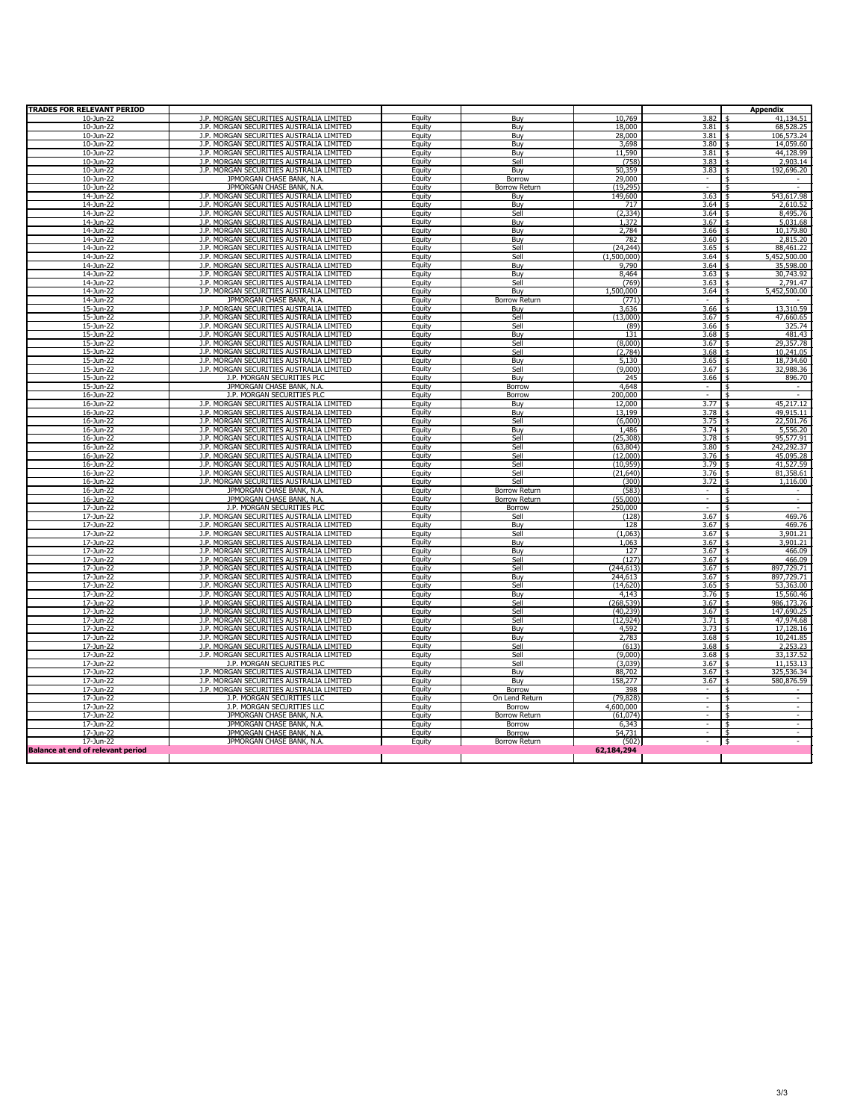| <b>TRADES FOR RELEVANT PERIOD</b>        |                                                                                      |                  |                             |                       |                          | <b>Appendix</b>                   |
|------------------------------------------|--------------------------------------------------------------------------------------|------------------|-----------------------------|-----------------------|--------------------------|-----------------------------------|
| $10-1$ un-22                             | J.P. MORGAN SECURITIES AUSTRALIA LIMITED                                             | Equity           | Buy                         | 10.769                | 3.82                     | 41.134.51                         |
| 10-Jun-22                                | J.P. MORGAN SECURITIES AUSTRALIA LIMITED                                             | Equity           | Buv                         | 18,000                | 3.81                     | \$<br>68,528.25                   |
| 10-Jun-22                                | J.P. MORGAN SECURITIES AUSTRALIA LIMITED                                             | Equity           | Buy                         | 28,000                | 3.81                     | \$<br>106,573.24                  |
| 10-Jun-22                                | J.P. MORGAN SECURITIES AUSTRALIA LIMITED                                             | Equity           | Buy                         | 3,698                 | 3.80                     | $\ddot{\text{s}}$<br>14,059.60    |
| 10-Jun-22                                | J.P. MORGAN SECURITIES AUSTRALIA LIMITED                                             | Equity           | Buv                         | 11,590                | 3.81                     | 44,128.99<br>- \$                 |
| 10-Jun-22                                | J.P. MORGAN SECURITIES AUSTRALIA LIMITED                                             | Equity           | Sell                        | (758)                 | 3.83                     | 2,903.14<br>$\ddot{\textbf{s}}$   |
| 10-Jun-22                                | J.P. MORGAN SECURITIES AUSTRALIA LIMITED                                             | Equity           | Buy                         | 50,359                | 3.83                     | 192,696.20<br>\$                  |
| 10-Jun-22                                | JPMORGAN CHASE BANK, N.A.                                                            | Equity           | Borrow                      | 29,000                | $\sim$                   | -\$<br>$\sim$                     |
| 10-Jun-22                                | JPMORGAN CHASE BANK, N.A.                                                            | Equity           | <b>Borrow Return</b>        | (19, 295)             | $\sim$                   | \$<br>$\sim$                      |
| 14-Jun-22                                | J.P. MORGAN SECURITIES AUSTRALIA LIMITED                                             | Equity           | Buy                         | 149,600               | 3.63                     | 543,617.98<br>- \$                |
| 14-Jun-22                                | J.P. MORGAN SECURITIES AUSTRALIA LIMITED                                             | Equity           | Buy                         | 717                   | 3.64                     | 2,610.52<br>-\$                   |
| 14-Jun-22                                | J.P. MORGAN SECURITIES AUSTRALIA LIMITED                                             | Equity           | Sell                        | (2, 334)              | 3.64                     | 8,495.76<br>-\$                   |
| 14-Jun-22                                | J.P. MORGAN SECURITIES AUSTRALIA LIMITED                                             | Equity           | Buy                         | 1,372                 | 3.67                     | 5,031.68<br>\$                    |
| 14-Jun-22                                | J.P. MORGAN SECURITIES AUSTRALIA LIMITED                                             | Equity           | Buy                         | 2,784                 | 3.66                     | 10,179.80<br>ጙ                    |
| 14-Jun-22                                | J.P. MORGAN SECURITIES AUSTRALIA LIMITED                                             | Equity           | Buy                         | 782                   | 3.60                     | 2,815.20                          |
| 14-Jun-22                                | J.P. MORGAN SECURITIES AUSTRALIA LIMITED                                             | Equity           | Sell<br>Sell                | (24, 244)             | 3.65<br>3.64             | 88,461.22<br>- \$                 |
| 14-Jun-22                                | J.P. MORGAN SECURITIES AUSTRALIA LIMITED                                             | Equity           |                             | (1,500,000)           |                          | 5,452,500.00                      |
| 14-Jun-22<br>14-Jun-22                   | J.P. MORGAN SECURITIES AUSTRALIA LIMITED<br>J.P. MORGAN SECURITIES AUSTRALIA LIMITED | Equity           | Buy<br>Buv                  | 9,790                 | 3.64<br>3.63             | 35,598.00<br>30.743.92            |
| 14-Jun-22                                | J.P. MORGAN SECURITIES AUSTRALIA LIMITED                                             | Equity           |                             | 8,464<br>(769)        | 3.63                     | 2,791.47                          |
| 14-Jun-22                                | J.P. MORGAN SECURITIES AUSTRALIA LIMITED                                             | Equity<br>Equity | Sell                        |                       | 3.64                     |                                   |
| 14-Jun-22                                | JPMORGAN CHASE BANK, N.A.                                                            |                  | Buy<br><b>Borrow Return</b> | 1,500,000<br>(771)    | $\sim$                   | 5,452,500.00                      |
| 15-Jun-22                                | J.P. MORGAN SECURITIES AUSTRALIA LIMITED                                             | Equity<br>Equity | Buy                         | 3,636                 | 3.66                     | 13,310.59                         |
| 15-Jun-22                                | J.P. MORGAN SECURITIES AUSTRALIA LIMITED                                             | Equity           | Sell                        | (13.000)              | 3.67                     | 47.660.65                         |
| 15-Jun-22                                | J.P. MORGAN SECURITIES AUSTRALIA LIMITED                                             |                  | Sell                        |                       |                          | 325.74                            |
| 15-Jun-22                                | J.P. MORGAN SECURITIES AUSTRALIA LIMITED                                             | Equity<br>Equity | Buy                         | (89)<br>131           | 3.66<br>3.68             | 481.43                            |
| 15-Jun-22                                | J.P. MORGAN SECURITIES AUSTRALIA LIMITED                                             | Equity           | Sell                        | (8,000)               | 3.67                     | 29,357.78                         |
| 15-Jun-22                                | J.P. MORGAN SECURITIES AUSTRALIA LIMITED                                             | Equity           | Sell                        | (2, 784)              | 3.68                     | 10,241.05                         |
| 15-Jun-22                                | J.P. MORGAN SECURITIES AUSTRALIA LIMITED                                             | Equity           | <b>Buy</b>                  | 5,130                 | 3.65                     | 18,734.60                         |
| 15-Jun-22                                | J.P. MORGAN SECURITIES AUSTRALIA LIMITED                                             | Equity           | Sell                        | (9,000)               | 3.67                     | 32,988.36                         |
| 15-Jun-22                                | J.P. MORGAN SECURITIES PLC                                                           | Equity           | Buy                         | 245                   | 3.66                     | 896.70                            |
| 15-Jun-22                                | JPMORGAN CHASE BANK, N.A.                                                            | Equity           | <b>Borrow</b>               | 4,648                 | $\sim$                   | ¢                                 |
| 16-Jun-22                                | J.P. MORGAN SECURITIES PLC                                                           | Equity           | Borrow                      | 200,000               |                          | $\ddot{\text{s}}$<br>ä,           |
| 16-Jun-22                                | J.P. MORGAN SECURITIES AUSTRALIA LIMITED                                             | Equity           | Buv                         | 12,000                | 3.77                     | 45.217.12<br>$\ddot{\phantom{1}}$ |
| 16-Jun-22                                | J.P. MORGAN SECURITIES AUSTRALIA LIMITED                                             | Equity           | Buy                         | 13,199                | 3.78                     | 49,915.11<br>$\ddot{\text{s}}$    |
| 16-Jun-22                                | J.P. MORGAN SECURITIES AUSTRALIA LIMITED                                             | Equity           | Sell                        | (6,000)               | 3.75                     | 22,501.76<br>\$                   |
| 16-Jun-22                                | J.P. MORGAN SECURITIES AUSTRALIA LIMITED                                             | Equity           | Buy                         | 1,486                 | 3.74                     | 5,556.20                          |
| 16-Jun-22                                | J.P. MORGAN SECURITIES AUSTRALIA LIMITED                                             | Equity           | Sell                        | (25, 308)             | 3.78                     | 95,577.91                         |
| 16-Jun-22                                | J.P. MORGAN SECURITIES AUSTRALIA LIMITED                                             | Equity           | Sell                        | (63, 804)             | 3.80                     | 242,292.37<br>- \$                |
| 16-Jun-22                                | J.P. MORGAN SECURITIES AUSTRALIA LIMITED                                             | Equity           | Sell                        | (12,000)              | 3.76                     | 45,095.28<br>\$                   |
| 16-Jun-22                                | J.P. MORGAN SECURITIES AUSTRALIA LIMITED                                             | Equity           | Sell                        | (10, 959)             | 3.79                     | 41,527.59<br>\$                   |
| 16-Jun-22                                | J.P. MORGAN SECURITIES AUSTRALIA LIMITED                                             | Equity           | Sell                        | (21, 640)             | 3.76                     | 81,358.61<br>\$                   |
| 16-Jun-22                                | J.P. MORGAN SECURITIES AUSTRALIA LIMITED                                             | Equity           | Sell                        | (300)                 | 3.72                     | 1,116.00                          |
| 16-Jun-22                                | JPMORGAN CHASE BANK, N.A.                                                            | Equity           | Borrow Return               | (583)                 |                          |                                   |
| 16-Jun-22                                | JPMORGAN CHASE BANK, N.A.                                                            | Equity           | Borrow Return               | (55,000)              |                          | $\overline{\phantom{a}}$          |
| 17-Jun-22                                | J.P. MORGAN SECURITIES PLC                                                           | Equity           | Borrow                      | 250,000               |                          |                                   |
| 17-Jun-22                                | J.P. MORGAN SECURITIES AUSTRALIA LIMITED                                             | Equity           | Sell                        | (128)                 | 3.67                     | 469.76                            |
| 17-Jun-22                                | J.P. MORGAN SECURITIES AUSTRALIA LIMITED                                             | Equity           | Buy                         | 128                   | 3.67                     | 469.76                            |
| 17-Jun-22                                | J.P. MORGAN SECURITIES AUSTRALIA LIMITED                                             | Equity           | Sell                        | (1,063)               | 3.67                     | 3.901.21<br>¢                     |
| 17-Jun-22                                | J.P. MORGAN SECURITIES AUSTRALIA LIMITED                                             | Equity           | Buy                         | 1,063                 | 3.67                     | 3,901.21<br>$\frac{4}{5}$         |
| 17-Jun-22                                | J.P. MORGAN SECURITIES AUSTRALIA LIMITED                                             | Equity           | Buy                         | 127                   | 3.67                     | 466.09                            |
| 17-Jun-22<br>17-Jun-22                   | J.P. MORGAN SECURITIES AUSTRALIA LIMITED<br>J.P. MORGAN SECURITIES AUSTRALIA LIMITED | Equity           | Sell                        | (127)                 | 3.67                     | 466.09<br>897.729.71              |
| 17-Jun-22                                | J.P. MORGAN SECURITIES AUSTRALIA LIMITED                                             | Equity           | Sell                        | (244, 613)<br>244,613 | 3.67                     | 897,729.71                        |
| 17-Jun-22                                | J.P. MORGAN SECURITIES AUSTRALIA LIMITED                                             | Equity<br>Equity | Buy<br>Sell                 | (14, 620)             | 3.67<br>3.65             | 53,363.00<br>\$                   |
| 17-Jun-22                                | J.P. MORGAN SECURITIES AUSTRALIA LIMITED                                             | Equity           | Buy                         | 4,143                 | 3.76                     | 15,560.46<br>\$                   |
| 17-Jun-22                                | J.P. MORGAN SECURITIES AUSTRALIA LIMITED                                             | Equity           | Sell                        | (268, 539)            | 3.67                     | 986,173.76<br>\$                  |
| 17-Jun-22                                | J.P. MORGAN SECURITIES AUSTRALIA LIMITED                                             | Equity           | Sell                        | (40, 239)             | 3.67                     | 147,690.25<br>¢                   |
| 17-Jun-22                                | J.P. MORGAN SECURITIES AUSTRALIA LIMITED                                             | Equity           | Sell                        | (12, 924)             | 3.71                     | 47,974.68                         |
| 17-Jun-22                                | J.P. MORGAN SECURITIES AUSTRALIA LIMITED                                             | Equity           | Buy                         | 4,592                 | 3.73                     | 17,128.16                         |
| 17-Jun-22                                | J.P. MORGAN SECURITIES AUSTRALIA LIMITED                                             | Equity           | Buv                         | 2.783                 | 3.68                     | 10.241.85<br>¢                    |
| 17-Jun-22                                | J.P. MORGAN SECURITIES AUSTRALIA LIMITED                                             | Equity           | Sell                        | (613)                 | 3.68                     | 2.253.23                          |
| 17-Jun-22                                | J.P. MORGAN SECURITIES AUSTRALIA LIMITED                                             | Equity           | Sell                        | (9,000)               | 3.68                     | 33,137.52<br>¢                    |
| 17-Jun-22                                | J.P. MORGAN SECURITIES PLC                                                           | Equity           | Sell                        | (3,039)               | 3.67                     | 11,153.13<br>\$                   |
| 17-Jun-22                                | J.P. MORGAN SECURITIES AUSTRALIA LIMITED                                             | Equity           | Buy                         | 88,702                | 3.67                     | 325,536.34<br>$\ddot{\text{s}}$   |
| 17-Jun-22                                | J.P. MORGAN SECURITIES AUSTRALIA LIMITED                                             | Equity           | Buy                         | 158,277               | 3.67                     | 580,876.59                        |
| 17-Jun-22                                | J.P. MORGAN SECURITIES AUSTRALIA LIMITED                                             | Equity           | Borrow                      | 398                   | $\overline{\phantom{a}}$ | \$                                |
| 17-Jun-22                                | J.P. MORGAN SECURITIES LLC                                                           | Equity           | On Lend Return              | (79, 828)             | $\overline{\phantom{a}}$ | $\overline{\phantom{a}}$<br>\$    |
| 17-Jun-22                                | J.P. MORGAN SECURITIES LLC                                                           | Equity           | Borrow                      | 4,600,000             | $\overline{\phantom{a}}$ | $\overline{\phantom{a}}$<br>\$    |
| 17-Jun-22                                | JPMORGAN CHASE BANK, N.A.                                                            | Equity           | Borrow Return               | (61, 074)             | $\sim$                   | $\sim$<br>\$                      |
| 17-Jun-22                                | JPMORGAN CHASE BANK, N.A.                                                            | Equity           | Borrow                      | 6,343                 | $\overline{\phantom{a}}$ | \$<br>$\overline{\phantom{a}}$    |
| 17-Jun-22                                | JPMORGAN CHASE BANK, N.A.                                                            | Equity           | Borrow                      | 54,731                | $\sim$                   | \$<br>$\overline{\phantom{a}}$    |
| 17-Jun-22                                | JPMORGAN CHASE BANK, N.A.                                                            | Equity           | <b>Borrow Return</b>        | (502)                 | $\sim$                   | $\frac{4}{3}$                     |
| <b>Balance at end of relevant period</b> |                                                                                      |                  |                             | 62,184,294            |                          |                                   |
|                                          |                                                                                      |                  |                             |                       |                          |                                   |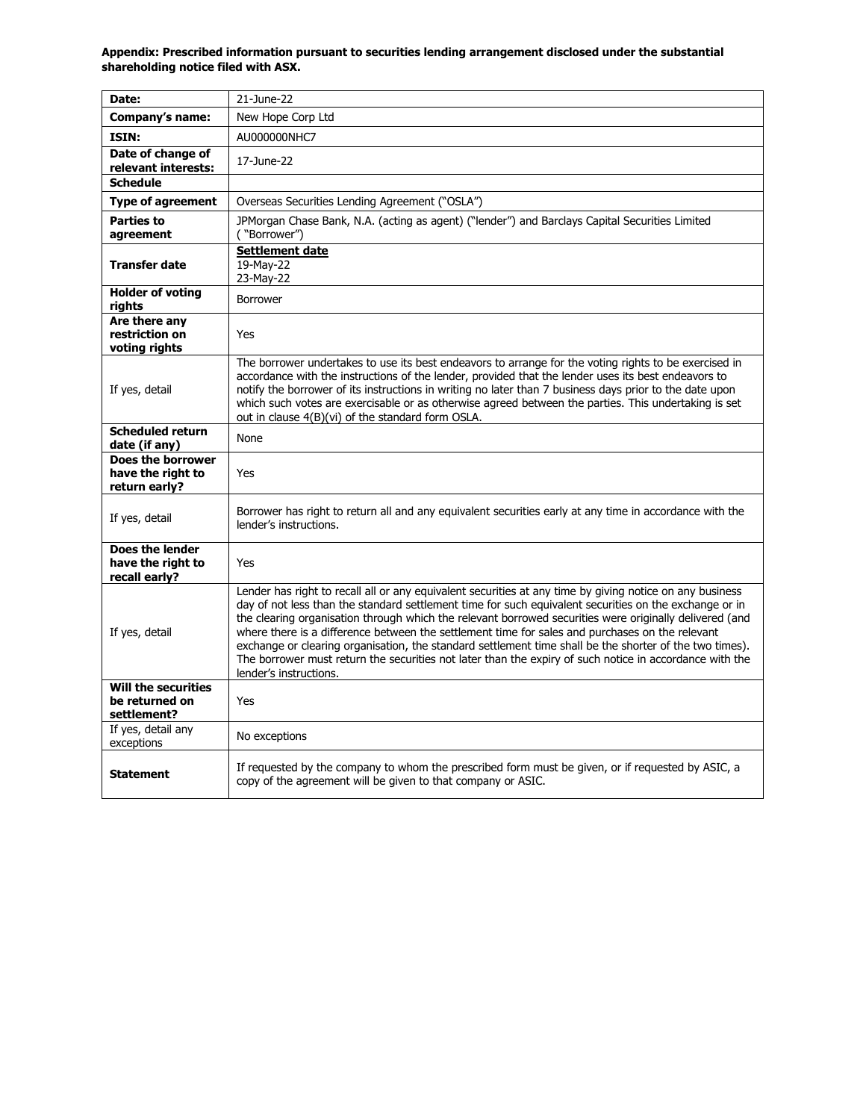| Date:                                                       | 21-June-22                                                                                                                                                                                                                                                                                                                                                                                                                                                                                                                                                                                                                                                                       |
|-------------------------------------------------------------|----------------------------------------------------------------------------------------------------------------------------------------------------------------------------------------------------------------------------------------------------------------------------------------------------------------------------------------------------------------------------------------------------------------------------------------------------------------------------------------------------------------------------------------------------------------------------------------------------------------------------------------------------------------------------------|
| Company's name:                                             | New Hope Corp Ltd                                                                                                                                                                                                                                                                                                                                                                                                                                                                                                                                                                                                                                                                |
|                                                             |                                                                                                                                                                                                                                                                                                                                                                                                                                                                                                                                                                                                                                                                                  |
| ISIN:<br>Date of change of                                  | AU000000NHC7                                                                                                                                                                                                                                                                                                                                                                                                                                                                                                                                                                                                                                                                     |
| relevant interests:                                         | 17-June-22                                                                                                                                                                                                                                                                                                                                                                                                                                                                                                                                                                                                                                                                       |
| <b>Schedule</b>                                             |                                                                                                                                                                                                                                                                                                                                                                                                                                                                                                                                                                                                                                                                                  |
| <b>Type of agreement</b>                                    | Overseas Securities Lending Agreement ("OSLA")                                                                                                                                                                                                                                                                                                                                                                                                                                                                                                                                                                                                                                   |
| <b>Parties to</b><br>agreement                              | JPMorgan Chase Bank, N.A. (acting as agent) ("lender") and Barclays Capital Securities Limited<br>("Borrower")                                                                                                                                                                                                                                                                                                                                                                                                                                                                                                                                                                   |
| <b>Transfer date</b>                                        | <b>Settlement date</b><br>$19-May-22$<br>23-May-22                                                                                                                                                                                                                                                                                                                                                                                                                                                                                                                                                                                                                               |
| <b>Holder of voting</b><br>rights                           | Borrower                                                                                                                                                                                                                                                                                                                                                                                                                                                                                                                                                                                                                                                                         |
| Are there any<br>restriction on<br>voting rights            | Yes                                                                                                                                                                                                                                                                                                                                                                                                                                                                                                                                                                                                                                                                              |
| If yes, detail                                              | The borrower undertakes to use its best endeavors to arrange for the voting rights to be exercised in<br>accordance with the instructions of the lender, provided that the lender uses its best endeavors to<br>notify the borrower of its instructions in writing no later than 7 business days prior to the date upon<br>which such votes are exercisable or as otherwise agreed between the parties. This undertaking is set<br>out in clause 4(B)(vi) of the standard form OSLA.                                                                                                                                                                                             |
| <b>Scheduled return</b><br>date (if any)                    | None                                                                                                                                                                                                                                                                                                                                                                                                                                                                                                                                                                                                                                                                             |
| Does the borrower<br>have the right to<br>return early?     | Yes                                                                                                                                                                                                                                                                                                                                                                                                                                                                                                                                                                                                                                                                              |
| If yes, detail                                              | Borrower has right to return all and any equivalent securities early at any time in accordance with the<br>lender's instructions.                                                                                                                                                                                                                                                                                                                                                                                                                                                                                                                                                |
| Does the lender<br>have the right to<br>recall early?       | Yes                                                                                                                                                                                                                                                                                                                                                                                                                                                                                                                                                                                                                                                                              |
| If yes, detail                                              | Lender has right to recall all or any equivalent securities at any time by giving notice on any business<br>day of not less than the standard settlement time for such equivalent securities on the exchange or in<br>the clearing organisation through which the relevant borrowed securities were originally delivered (and<br>where there is a difference between the settlement time for sales and purchases on the relevant<br>exchange or clearing organisation, the standard settlement time shall be the shorter of the two times).<br>The borrower must return the securities not later than the expiry of such notice in accordance with the<br>lender's instructions. |
| <b>Will the securities</b><br>be returned on<br>settlement? | Yes                                                                                                                                                                                                                                                                                                                                                                                                                                                                                                                                                                                                                                                                              |
| If yes, detail any<br>exceptions                            | No exceptions                                                                                                                                                                                                                                                                                                                                                                                                                                                                                                                                                                                                                                                                    |
| <b>Statement</b>                                            | If requested by the company to whom the prescribed form must be given, or if requested by ASIC, a<br>copy of the agreement will be given to that company or ASIC.                                                                                                                                                                                                                                                                                                                                                                                                                                                                                                                |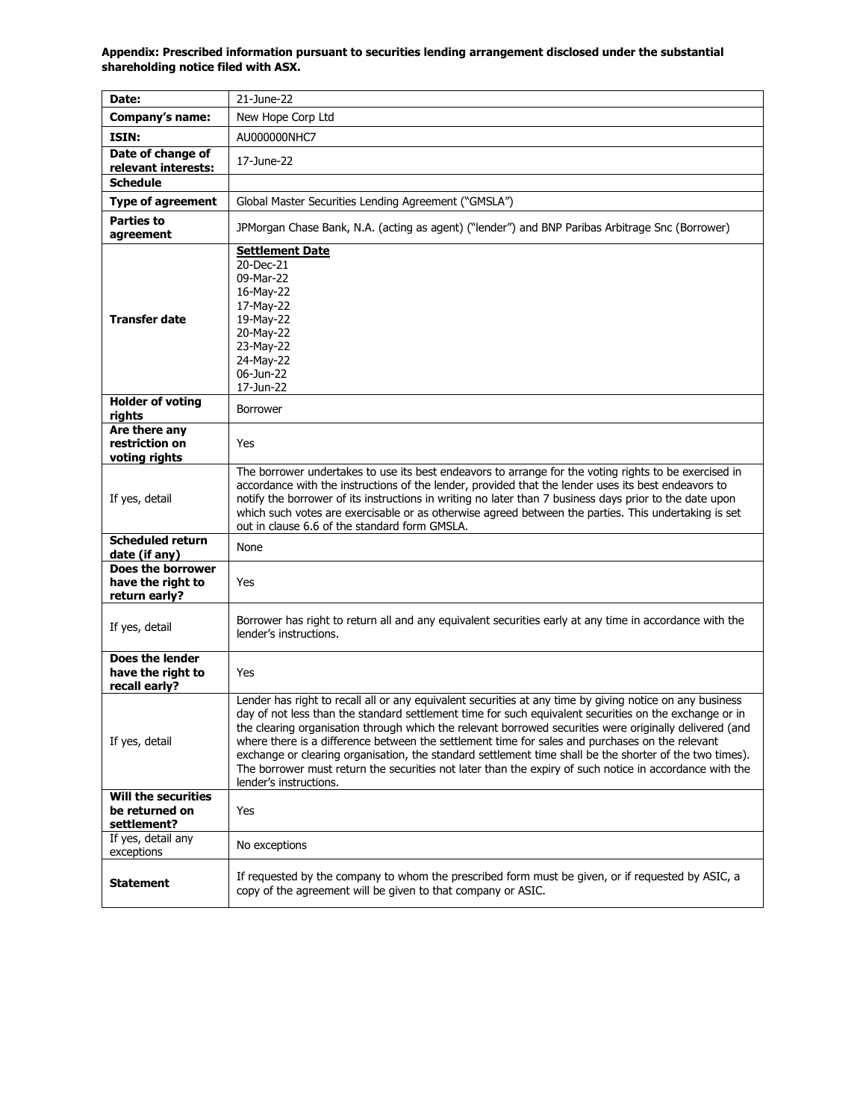| Date:                                                       | 21-June-22                                                                                                                                                                                                                                                                                                                                                                                                                                                                                                                                                                                                                                                                       |
|-------------------------------------------------------------|----------------------------------------------------------------------------------------------------------------------------------------------------------------------------------------------------------------------------------------------------------------------------------------------------------------------------------------------------------------------------------------------------------------------------------------------------------------------------------------------------------------------------------------------------------------------------------------------------------------------------------------------------------------------------------|
| Company's name:                                             | New Hope Corp Ltd                                                                                                                                                                                                                                                                                                                                                                                                                                                                                                                                                                                                                                                                |
| ISIN:                                                       | AU000000NHC7                                                                                                                                                                                                                                                                                                                                                                                                                                                                                                                                                                                                                                                                     |
| Date of change of<br>relevant interests:                    | 17-June-22                                                                                                                                                                                                                                                                                                                                                                                                                                                                                                                                                                                                                                                                       |
| <b>Schedule</b>                                             |                                                                                                                                                                                                                                                                                                                                                                                                                                                                                                                                                                                                                                                                                  |
| <b>Type of agreement</b>                                    | Global Master Securities Lending Agreement ("GMSLA")                                                                                                                                                                                                                                                                                                                                                                                                                                                                                                                                                                                                                             |
| <b>Parties to</b><br>agreement                              | JPMorgan Chase Bank, N.A. (acting as agent) ("lender") and BNP Paribas Arbitrage Snc (Borrower)                                                                                                                                                                                                                                                                                                                                                                                                                                                                                                                                                                                  |
| <b>Transfer date</b>                                        | <b>Settlement Date</b><br>20-Dec-21<br>09-Mar-22<br>16-May-22<br>17-May-22<br>19-May-22<br>20-May-22<br>23-May-22<br>24-May-22<br>06-Jun-22<br>17-Jun-22                                                                                                                                                                                                                                                                                                                                                                                                                                                                                                                         |
| <b>Holder of voting</b><br>rights                           | <b>Borrower</b>                                                                                                                                                                                                                                                                                                                                                                                                                                                                                                                                                                                                                                                                  |
| Are there any<br>restriction on<br>voting rights            | Yes                                                                                                                                                                                                                                                                                                                                                                                                                                                                                                                                                                                                                                                                              |
| If yes, detail                                              | The borrower undertakes to use its best endeavors to arrange for the voting rights to be exercised in<br>accordance with the instructions of the lender, provided that the lender uses its best endeavors to<br>notify the borrower of its instructions in writing no later than 7 business days prior to the date upon<br>which such votes are exercisable or as otherwise agreed between the parties. This undertaking is set<br>out in clause 6.6 of the standard form GMSLA.                                                                                                                                                                                                 |
| <b>Scheduled return</b><br>date (if any)                    | None                                                                                                                                                                                                                                                                                                                                                                                                                                                                                                                                                                                                                                                                             |
| Does the borrower<br>have the right to<br>return early?     | Yes                                                                                                                                                                                                                                                                                                                                                                                                                                                                                                                                                                                                                                                                              |
| If yes, detail                                              | Borrower has right to return all and any equivalent securities early at any time in accordance with the<br>lender's instructions.                                                                                                                                                                                                                                                                                                                                                                                                                                                                                                                                                |
| Does the lender<br>have the right to<br>recall early?       | Yes                                                                                                                                                                                                                                                                                                                                                                                                                                                                                                                                                                                                                                                                              |
| If yes, detail                                              | Lender has right to recall all or any equivalent securities at any time by giving notice on any business<br>day of not less than the standard settlement time for such equivalent securities on the exchange or in<br>the clearing organisation through which the relevant borrowed securities were originally delivered (and<br>where there is a difference between the settlement time for sales and purchases on the relevant<br>exchange or clearing organisation, the standard settlement time shall be the shorter of the two times).<br>The borrower must return the securities not later than the expiry of such notice in accordance with the<br>lender's instructions. |
| <b>Will the securities</b><br>be returned on<br>settlement? | Yes                                                                                                                                                                                                                                                                                                                                                                                                                                                                                                                                                                                                                                                                              |
| If yes, detail any<br>exceptions                            | No exceptions                                                                                                                                                                                                                                                                                                                                                                                                                                                                                                                                                                                                                                                                    |
| <b>Statement</b>                                            | If requested by the company to whom the prescribed form must be given, or if requested by ASIC, a<br>copy of the agreement will be given to that company or ASIC.                                                                                                                                                                                                                                                                                                                                                                                                                                                                                                                |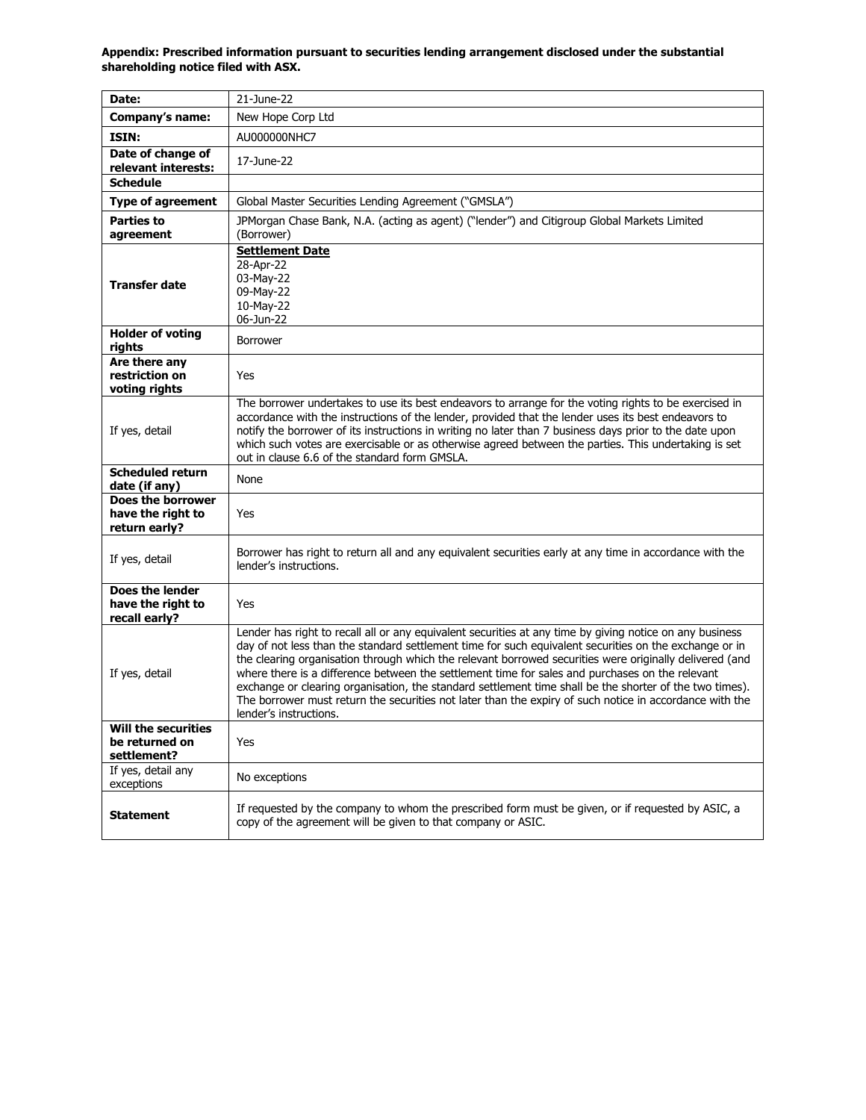| Date:                                                       | 21-June-22                                                                                                                                                                                                                                                                                                                                                                                                                                                                                                                                                                                                                                                                       |
|-------------------------------------------------------------|----------------------------------------------------------------------------------------------------------------------------------------------------------------------------------------------------------------------------------------------------------------------------------------------------------------------------------------------------------------------------------------------------------------------------------------------------------------------------------------------------------------------------------------------------------------------------------------------------------------------------------------------------------------------------------|
| Company's name:                                             | New Hope Corp Ltd                                                                                                                                                                                                                                                                                                                                                                                                                                                                                                                                                                                                                                                                |
| ISIN:                                                       | AU000000NHC7                                                                                                                                                                                                                                                                                                                                                                                                                                                                                                                                                                                                                                                                     |
| Date of change of<br>relevant interests:                    | 17-June-22                                                                                                                                                                                                                                                                                                                                                                                                                                                                                                                                                                                                                                                                       |
| <b>Schedule</b>                                             |                                                                                                                                                                                                                                                                                                                                                                                                                                                                                                                                                                                                                                                                                  |
| <b>Type of agreement</b>                                    | Global Master Securities Lending Agreement ("GMSLA")                                                                                                                                                                                                                                                                                                                                                                                                                                                                                                                                                                                                                             |
| <b>Parties to</b><br>agreement                              | JPMorgan Chase Bank, N.A. (acting as agent) ("lender") and Citigroup Global Markets Limited<br>(Borrower)                                                                                                                                                                                                                                                                                                                                                                                                                                                                                                                                                                        |
| <b>Transfer date</b>                                        | <b>Settlement Date</b><br>28-Apr-22<br>03-May-22<br>09-May-22<br>10-May-22<br>06-Jun-22                                                                                                                                                                                                                                                                                                                                                                                                                                                                                                                                                                                          |
| <b>Holder of voting</b><br>rights                           | <b>Borrower</b>                                                                                                                                                                                                                                                                                                                                                                                                                                                                                                                                                                                                                                                                  |
| Are there any<br>restriction on<br>voting rights            | Yes                                                                                                                                                                                                                                                                                                                                                                                                                                                                                                                                                                                                                                                                              |
| If yes, detail                                              | The borrower undertakes to use its best endeavors to arrange for the voting rights to be exercised in<br>accordance with the instructions of the lender, provided that the lender uses its best endeavors to<br>notify the borrower of its instructions in writing no later than 7 business days prior to the date upon<br>which such votes are exercisable or as otherwise agreed between the parties. This undertaking is set<br>out in clause 6.6 of the standard form GMSLA.                                                                                                                                                                                                 |
| <b>Scheduled return</b><br>date (if any)                    | None                                                                                                                                                                                                                                                                                                                                                                                                                                                                                                                                                                                                                                                                             |
| Does the borrower<br>have the right to<br>return early?     | Yes                                                                                                                                                                                                                                                                                                                                                                                                                                                                                                                                                                                                                                                                              |
| If yes, detail                                              | Borrower has right to return all and any equivalent securities early at any time in accordance with the<br>lender's instructions.                                                                                                                                                                                                                                                                                                                                                                                                                                                                                                                                                |
| Does the lender<br>have the right to<br>recall early?       | Yes                                                                                                                                                                                                                                                                                                                                                                                                                                                                                                                                                                                                                                                                              |
| If yes, detail                                              | Lender has right to recall all or any equivalent securities at any time by giving notice on any business<br>day of not less than the standard settlement time for such equivalent securities on the exchange or in<br>the clearing organisation through which the relevant borrowed securities were originally delivered (and<br>where there is a difference between the settlement time for sales and purchases on the relevant<br>exchange or clearing organisation, the standard settlement time shall be the shorter of the two times).<br>The borrower must return the securities not later than the expiry of such notice in accordance with the<br>lender's instructions. |
| <b>Will the securities</b><br>be returned on<br>settlement? | Yes                                                                                                                                                                                                                                                                                                                                                                                                                                                                                                                                                                                                                                                                              |
| If yes, detail any<br>exceptions                            | No exceptions                                                                                                                                                                                                                                                                                                                                                                                                                                                                                                                                                                                                                                                                    |
| <b>Statement</b>                                            | If requested by the company to whom the prescribed form must be given, or if requested by ASIC, a<br>copy of the agreement will be given to that company or ASIC.                                                                                                                                                                                                                                                                                                                                                                                                                                                                                                                |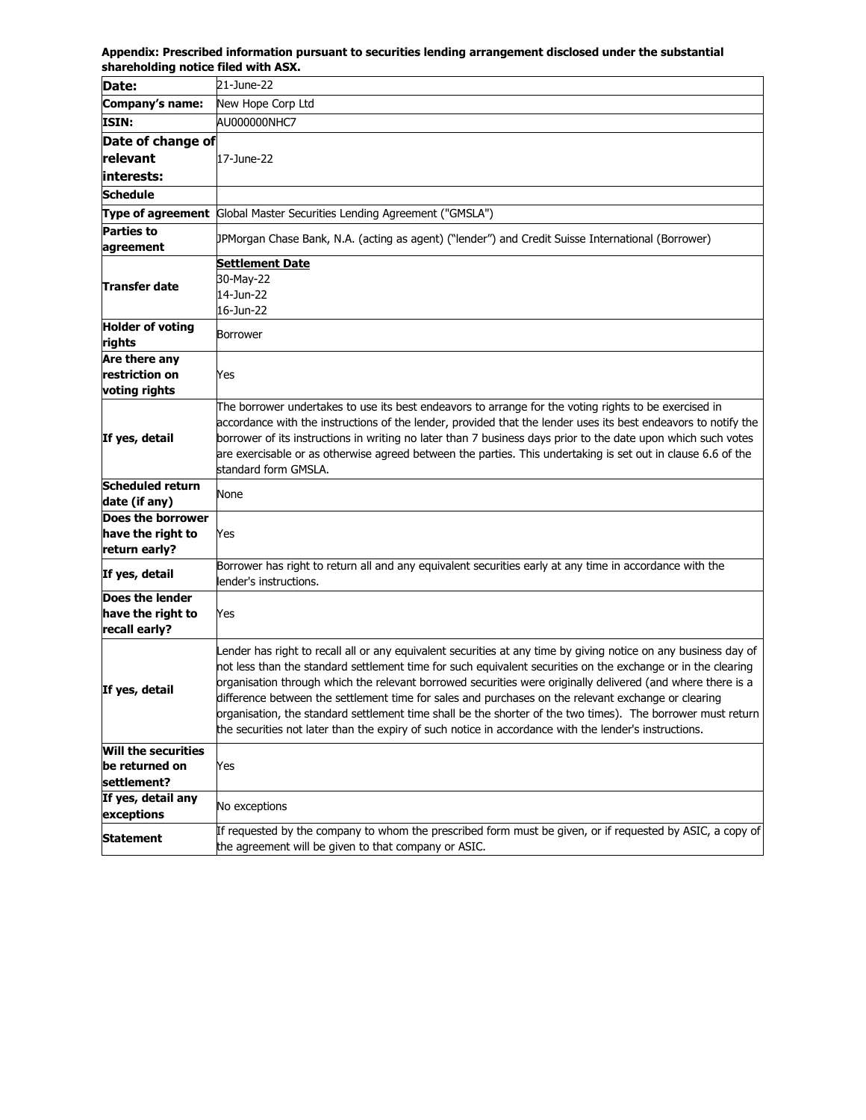| Date:                           | 21-June-22                                                                                                                                                                                                                      |
|---------------------------------|---------------------------------------------------------------------------------------------------------------------------------------------------------------------------------------------------------------------------------|
| Company's name:                 | New Hope Corp Ltd                                                                                                                                                                                                               |
| <b>ISIN:</b>                    | AU000000NHC7                                                                                                                                                                                                                    |
| Date of change of               |                                                                                                                                                                                                                                 |
| relevant                        | 17-June-22                                                                                                                                                                                                                      |
| interests:                      |                                                                                                                                                                                                                                 |
| <b>Schedule</b>                 |                                                                                                                                                                                                                                 |
|                                 | <b>Type of agreement</b> Global Master Securities Lending Agreement ("GMSLA")                                                                                                                                                   |
| Parties to                      |                                                                                                                                                                                                                                 |
| agreement                       | (Borgon Chase Bank, N.A. (acting as agent) ("lender") and Credit Suisse International (Borrower) [                                                                                                                              |
|                                 | <b>Settlement Date</b>                                                                                                                                                                                                          |
| Transfer date                   | 30-May-22                                                                                                                                                                                                                       |
|                                 | 14-Jun-22                                                                                                                                                                                                                       |
|                                 | 16-Jun-22                                                                                                                                                                                                                       |
| <b>Holder of voting</b>         | Borrower                                                                                                                                                                                                                        |
| rights                          |                                                                                                                                                                                                                                 |
| Are there any                   |                                                                                                                                                                                                                                 |
| restriction on<br>voting rights | Yes                                                                                                                                                                                                                             |
|                                 | The borrower undertakes to use its best endeavors to arrange for the voting rights to be exercised in                                                                                                                           |
|                                 | accordance with the instructions of the lender, provided that the lender uses its best endeavors to notify the                                                                                                                  |
| If yes, detail                  | borrower of its instructions in writing no later than 7 business days prior to the date upon which such votes                                                                                                                   |
|                                 | are exercisable or as otherwise agreed between the parties. This undertaking is set out in clause 6.6 of the                                                                                                                    |
|                                 | standard form GMSLA.                                                                                                                                                                                                            |
| <b>Scheduled return</b>         | None                                                                                                                                                                                                                            |
| date (if any)                   |                                                                                                                                                                                                                                 |
| Does the borrower               |                                                                                                                                                                                                                                 |
| have the right to               | Yes                                                                                                                                                                                                                             |
| return early?                   |                                                                                                                                                                                                                                 |
| If yes, detail                  | Borrower has right to return all and any equivalent securities early at any time in accordance with the                                                                                                                         |
| Does the lender                 | lender's instructions.                                                                                                                                                                                                          |
| have the right to               | Yes                                                                                                                                                                                                                             |
| recall early?                   |                                                                                                                                                                                                                                 |
|                                 |                                                                                                                                                                                                                                 |
|                                 | Lender has right to recall all or any equivalent securities at any time by giving notice on any business day of<br>not less than the standard settlement time for such equivalent securities on the exchange or in the clearing |
|                                 | organisation through which the relevant borrowed securities were originally delivered (and where there is a                                                                                                                     |
| If yes, detail                  | difference between the settlement time for sales and purchases on the relevant exchange or clearing                                                                                                                             |
|                                 | organisation, the standard settlement time shall be the shorter of the two times). The borrower must return                                                                                                                     |
|                                 | the securities not later than the expiry of such notice in accordance with the lender's instructions.                                                                                                                           |
| Will the securities             |                                                                                                                                                                                                                                 |
| be returned on                  | Yes                                                                                                                                                                                                                             |
| settlement?                     |                                                                                                                                                                                                                                 |
| If yes, detail any              |                                                                                                                                                                                                                                 |
| exceptions                      | No exceptions                                                                                                                                                                                                                   |
| <b>Statement</b>                | If requested by the company to whom the prescribed form must be given, or if requested by ASIC, a copy of                                                                                                                       |
|                                 | the agreement will be given to that company or ASIC.                                                                                                                                                                            |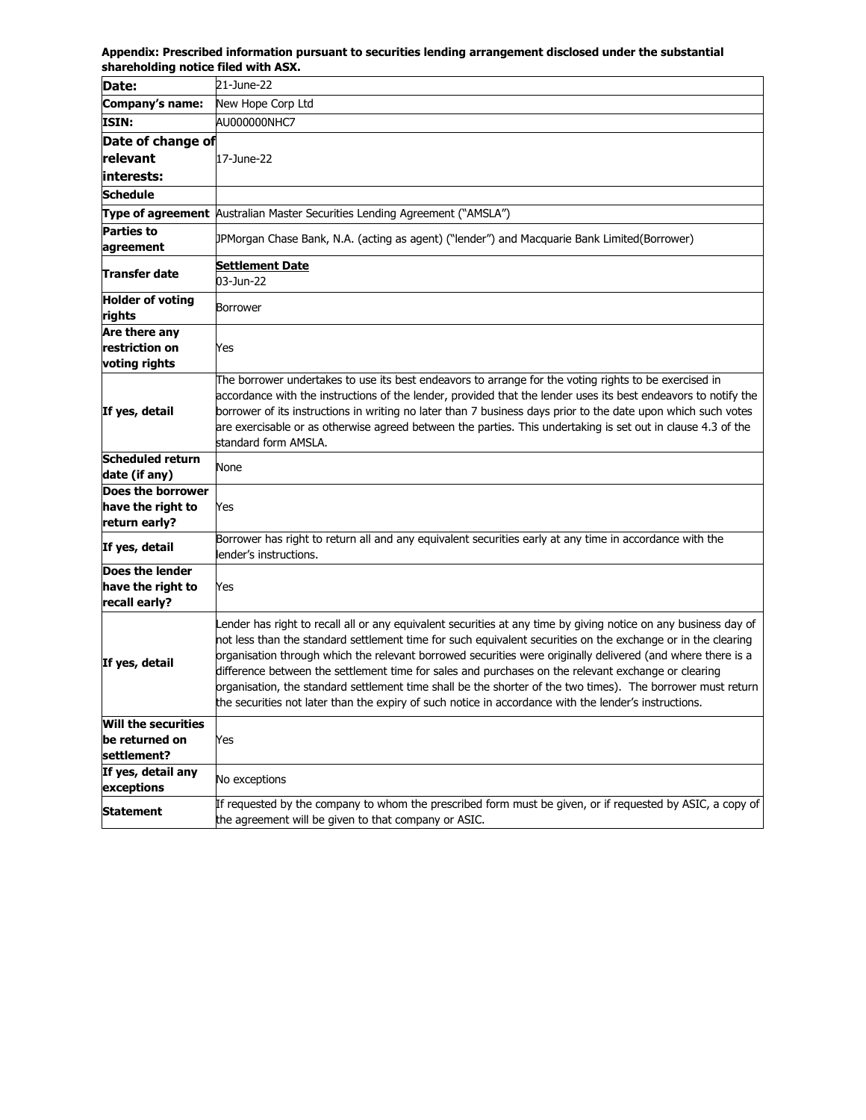| Date:                                                       | 21-June-22                                                                                                                                                                                                                                                                                                                                                                                                                                                                                                                                                                                                                                                                    |
|-------------------------------------------------------------|-------------------------------------------------------------------------------------------------------------------------------------------------------------------------------------------------------------------------------------------------------------------------------------------------------------------------------------------------------------------------------------------------------------------------------------------------------------------------------------------------------------------------------------------------------------------------------------------------------------------------------------------------------------------------------|
| Company's name:                                             | New Hope Corp Ltd                                                                                                                                                                                                                                                                                                                                                                                                                                                                                                                                                                                                                                                             |
| ISIN:                                                       | AU000000NHC7                                                                                                                                                                                                                                                                                                                                                                                                                                                                                                                                                                                                                                                                  |
| Date of change of                                           |                                                                                                                                                                                                                                                                                                                                                                                                                                                                                                                                                                                                                                                                               |
| relevant                                                    | 17-June-22                                                                                                                                                                                                                                                                                                                                                                                                                                                                                                                                                                                                                                                                    |
| interests:                                                  |                                                                                                                                                                                                                                                                                                                                                                                                                                                                                                                                                                                                                                                                               |
| Schedule                                                    |                                                                                                                                                                                                                                                                                                                                                                                                                                                                                                                                                                                                                                                                               |
|                                                             | <b>Type of agreement</b> Australian Master Securities Lending Agreement ("AMSLA")                                                                                                                                                                                                                                                                                                                                                                                                                                                                                                                                                                                             |
| <b>Parties to</b><br>agreement                              | JPMorgan Chase Bank, N.A. (acting as agent) ("lender") and Macquarie Bank Limited(Borrower)                                                                                                                                                                                                                                                                                                                                                                                                                                                                                                                                                                                   |
| Transfer date                                               | <u>Settlement Date</u><br>03-Jun-22                                                                                                                                                                                                                                                                                                                                                                                                                                                                                                                                                                                                                                           |
| <b>Holder of voting</b><br>rights                           | Borrower                                                                                                                                                                                                                                                                                                                                                                                                                                                                                                                                                                                                                                                                      |
| Are there any<br>restriction on<br>voting rights            | Yes                                                                                                                                                                                                                                                                                                                                                                                                                                                                                                                                                                                                                                                                           |
| If yes, detail                                              | The borrower undertakes to use its best endeavors to arrange for the voting rights to be exercised in<br>accordance with the instructions of the lender, provided that the lender uses its best endeavors to notify the<br>borrower of its instructions in writing no later than 7 business days prior to the date upon which such votes<br>are exercisable or as otherwise agreed between the parties. This undertaking is set out in clause 4.3 of the<br>standard form AMSLA.                                                                                                                                                                                              |
| <b>Scheduled return</b><br>date (if any)                    | None                                                                                                                                                                                                                                                                                                                                                                                                                                                                                                                                                                                                                                                                          |
| Does the borrower<br>have the right to<br>return early?     | Yes                                                                                                                                                                                                                                                                                                                                                                                                                                                                                                                                                                                                                                                                           |
| If yes, detail                                              | Borrower has right to return all and any equivalent securities early at any time in accordance with the<br>lender's instructions.                                                                                                                                                                                                                                                                                                                                                                                                                                                                                                                                             |
| Does the lender<br>have the right to<br>recall early?       | Yes                                                                                                                                                                                                                                                                                                                                                                                                                                                                                                                                                                                                                                                                           |
| If yes, detail                                              | Lender has right to recall all or any equivalent securities at any time by giving notice on any business day of<br>not less than the standard settlement time for such equivalent securities on the exchange or in the clearing<br>organisation through which the relevant borrowed securities were originally delivered (and where there is a<br>difference between the settlement time for sales and purchases on the relevant exchange or clearing<br>organisation, the standard settlement time shall be the shorter of the two times). The borrower must return<br>the securities not later than the expiry of such notice in accordance with the lender's instructions. |
| <b>Will the securities</b><br>be returned on<br>settlement? | Yes                                                                                                                                                                                                                                                                                                                                                                                                                                                                                                                                                                                                                                                                           |
| If yes, detail any<br>exceptions                            | No exceptions                                                                                                                                                                                                                                                                                                                                                                                                                                                                                                                                                                                                                                                                 |
| <b>Statement</b>                                            | If requested by the company to whom the prescribed form must be given, or if requested by ASIC, a copy of<br>the agreement will be given to that company or ASIC.                                                                                                                                                                                                                                                                                                                                                                                                                                                                                                             |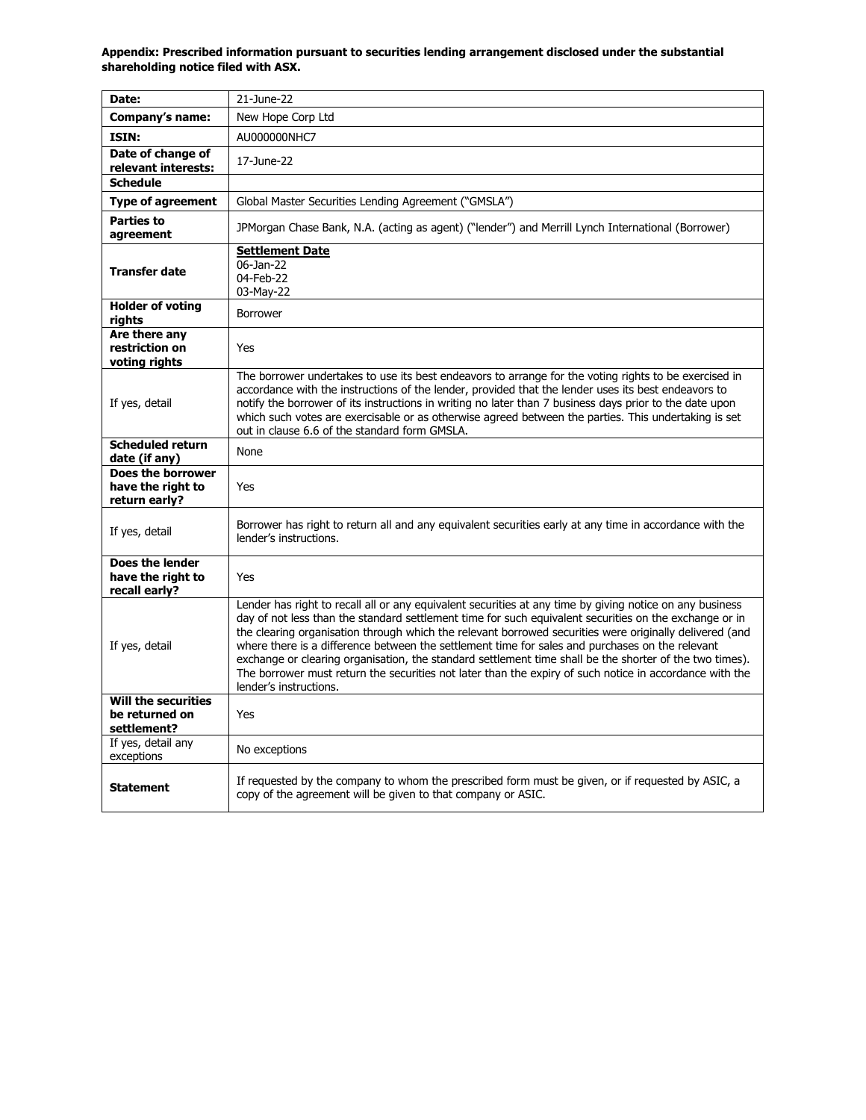| Date:                                                       | 21-June-22                                                                                                                                                                                                                                                                                                                                                                                                                                                                                                                                                                                                                                                                       |
|-------------------------------------------------------------|----------------------------------------------------------------------------------------------------------------------------------------------------------------------------------------------------------------------------------------------------------------------------------------------------------------------------------------------------------------------------------------------------------------------------------------------------------------------------------------------------------------------------------------------------------------------------------------------------------------------------------------------------------------------------------|
| Company's name:                                             | New Hope Corp Ltd                                                                                                                                                                                                                                                                                                                                                                                                                                                                                                                                                                                                                                                                |
| <b>ISIN:</b>                                                | AU000000NHC7                                                                                                                                                                                                                                                                                                                                                                                                                                                                                                                                                                                                                                                                     |
| Date of change of<br>relevant interests:                    | 17-June-22                                                                                                                                                                                                                                                                                                                                                                                                                                                                                                                                                                                                                                                                       |
| <b>Schedule</b>                                             |                                                                                                                                                                                                                                                                                                                                                                                                                                                                                                                                                                                                                                                                                  |
| <b>Type of agreement</b>                                    | Global Master Securities Lending Agreement ("GMSLA")                                                                                                                                                                                                                                                                                                                                                                                                                                                                                                                                                                                                                             |
| <b>Parties to</b><br>agreement                              | JPMorgan Chase Bank, N.A. (acting as agent) ("lender") and Merrill Lynch International (Borrower)                                                                                                                                                                                                                                                                                                                                                                                                                                                                                                                                                                                |
| <b>Transfer date</b>                                        | <b>Settlement Date</b><br>06-Jan-22<br>04-Feb-22<br>03-May-22                                                                                                                                                                                                                                                                                                                                                                                                                                                                                                                                                                                                                    |
| <b>Holder of voting</b><br>rights                           | Borrower                                                                                                                                                                                                                                                                                                                                                                                                                                                                                                                                                                                                                                                                         |
| Are there any<br>restriction on<br>voting rights            | Yes                                                                                                                                                                                                                                                                                                                                                                                                                                                                                                                                                                                                                                                                              |
| If yes, detail                                              | The borrower undertakes to use its best endeavors to arrange for the voting rights to be exercised in<br>accordance with the instructions of the lender, provided that the lender uses its best endeavors to<br>notify the borrower of its instructions in writing no later than 7 business days prior to the date upon<br>which such votes are exercisable or as otherwise agreed between the parties. This undertaking is set<br>out in clause 6.6 of the standard form GMSLA.                                                                                                                                                                                                 |
| <b>Scheduled return</b><br>date (if any)                    | None                                                                                                                                                                                                                                                                                                                                                                                                                                                                                                                                                                                                                                                                             |
| Does the borrower<br>have the right to<br>return early?     | Yes                                                                                                                                                                                                                                                                                                                                                                                                                                                                                                                                                                                                                                                                              |
| If yes, detail                                              | Borrower has right to return all and any equivalent securities early at any time in accordance with the<br>lender's instructions.                                                                                                                                                                                                                                                                                                                                                                                                                                                                                                                                                |
| Does the lender<br>have the right to<br>recall early?       | Yes                                                                                                                                                                                                                                                                                                                                                                                                                                                                                                                                                                                                                                                                              |
| If yes, detail                                              | Lender has right to recall all or any equivalent securities at any time by giving notice on any business<br>day of not less than the standard settlement time for such equivalent securities on the exchange or in<br>the clearing organisation through which the relevant borrowed securities were originally delivered (and<br>where there is a difference between the settlement time for sales and purchases on the relevant<br>exchange or clearing organisation, the standard settlement time shall be the shorter of the two times).<br>The borrower must return the securities not later than the expiry of such notice in accordance with the<br>lender's instructions. |
| <b>Will the securities</b><br>be returned on<br>settlement? | Yes                                                                                                                                                                                                                                                                                                                                                                                                                                                                                                                                                                                                                                                                              |
| If yes, detail any<br>exceptions                            | No exceptions                                                                                                                                                                                                                                                                                                                                                                                                                                                                                                                                                                                                                                                                    |
| <b>Statement</b>                                            | If requested by the company to whom the prescribed form must be given, or if requested by ASIC, a<br>copy of the agreement will be given to that company or ASIC.                                                                                                                                                                                                                                                                                                                                                                                                                                                                                                                |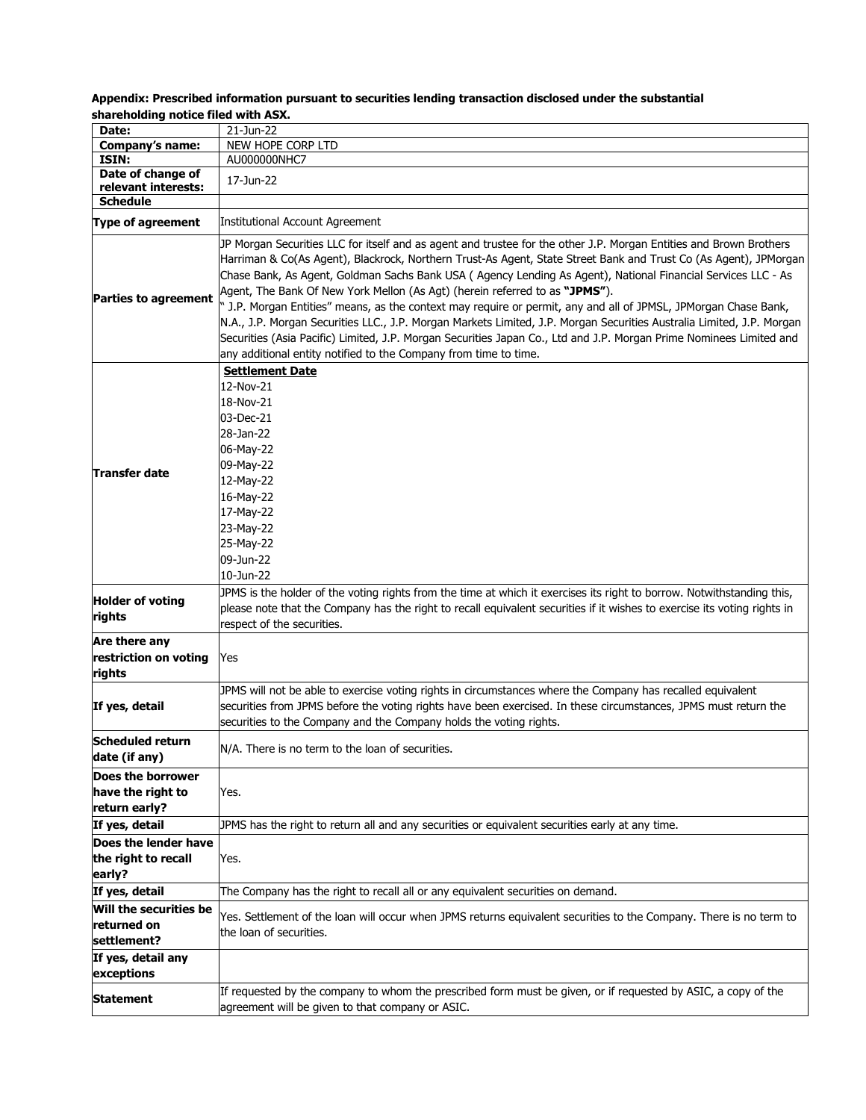| Date:                             | 21-Jun-22                                                                                                                                                                                                                                                                                                                                                                                                                                                                                                                                                                                                                                                                                                                                                                                                                                                                  |
|-----------------------------------|----------------------------------------------------------------------------------------------------------------------------------------------------------------------------------------------------------------------------------------------------------------------------------------------------------------------------------------------------------------------------------------------------------------------------------------------------------------------------------------------------------------------------------------------------------------------------------------------------------------------------------------------------------------------------------------------------------------------------------------------------------------------------------------------------------------------------------------------------------------------------|
| Company's name:                   | NEW HOPE CORP LTD                                                                                                                                                                                                                                                                                                                                                                                                                                                                                                                                                                                                                                                                                                                                                                                                                                                          |
| ISIN:                             | AU000000NHC7                                                                                                                                                                                                                                                                                                                                                                                                                                                                                                                                                                                                                                                                                                                                                                                                                                                               |
| Date of change of                 |                                                                                                                                                                                                                                                                                                                                                                                                                                                                                                                                                                                                                                                                                                                                                                                                                                                                            |
| relevant interests:               | 17-Jun-22                                                                                                                                                                                                                                                                                                                                                                                                                                                                                                                                                                                                                                                                                                                                                                                                                                                                  |
| <b>Schedule</b>                   |                                                                                                                                                                                                                                                                                                                                                                                                                                                                                                                                                                                                                                                                                                                                                                                                                                                                            |
| <b>Type of agreement</b>          | Institutional Account Agreement                                                                                                                                                                                                                                                                                                                                                                                                                                                                                                                                                                                                                                                                                                                                                                                                                                            |
| <b>Parties to agreement</b>       | JP Morgan Securities LLC for itself and as agent and trustee for the other J.P. Morgan Entities and Brown Brothers<br>Harriman & Co(As Agent), Blackrock, Northern Trust-As Agent, State Street Bank and Trust Co (As Agent), JPMorgan<br>Chase Bank, As Agent, Goldman Sachs Bank USA (Agency Lending As Agent), National Financial Services LLC - As<br>Agent, The Bank Of New York Mellon (As Agt) (herein referred to as "JPMS").<br>J.P. Morgan Entities" means, as the context may require or permit, any and all of JPMSL, JPMorgan Chase Bank,<br>N.A., J.P. Morgan Securities LLC., J.P. Morgan Markets Limited, J.P. Morgan Securities Australia Limited, J.P. Morgan<br>Securities (Asia Pacific) Limited, J.P. Morgan Securities Japan Co., Ltd and J.P. Morgan Prime Nominees Limited and<br>any additional entity notified to the Company from time to time. |
| Transfer date                     | <b>Settlement Date</b><br>12-Nov-21<br>18-Nov-21<br>03-Dec-21<br>28-Jan-22<br>06-May-22<br>09-May-22<br>12-May-22<br>16-May-22<br>17-May-22<br>23-May-22<br>25-May-22<br>09-Jun-22<br>10-Jun-22                                                                                                                                                                                                                                                                                                                                                                                                                                                                                                                                                                                                                                                                            |
| <b>Holder of voting</b><br>rights | JPMS is the holder of the voting rights from the time at which it exercises its right to borrow. Notwithstanding this,<br>please note that the Company has the right to recall equivalent securities if it wishes to exercise its voting rights in<br>respect of the securities.                                                                                                                                                                                                                                                                                                                                                                                                                                                                                                                                                                                           |
| Are there any                     |                                                                                                                                                                                                                                                                                                                                                                                                                                                                                                                                                                                                                                                                                                                                                                                                                                                                            |
| restriction on voting<br>rights   | Yes                                                                                                                                                                                                                                                                                                                                                                                                                                                                                                                                                                                                                                                                                                                                                                                                                                                                        |
| If yes, detail                    | JPMS will not be able to exercise voting rights in circumstances where the Company has recalled equivalent<br>securities from JPMS before the voting rights have been exercised. In these circumstances, JPMS must return the<br>securities to the Company and the Company holds the voting rights.                                                                                                                                                                                                                                                                                                                                                                                                                                                                                                                                                                        |
| Scheduled return<br>date (if any) | N/A. There is no term to the loan of securities.                                                                                                                                                                                                                                                                                                                                                                                                                                                                                                                                                                                                                                                                                                                                                                                                                           |
| Does the borrower                 |                                                                                                                                                                                                                                                                                                                                                                                                                                                                                                                                                                                                                                                                                                                                                                                                                                                                            |
| have the right to                 | Yes.                                                                                                                                                                                                                                                                                                                                                                                                                                                                                                                                                                                                                                                                                                                                                                                                                                                                       |
| return early?                     |                                                                                                                                                                                                                                                                                                                                                                                                                                                                                                                                                                                                                                                                                                                                                                                                                                                                            |
| If yes, detail                    | JPMS has the right to return all and any securities or equivalent securities early at any time.                                                                                                                                                                                                                                                                                                                                                                                                                                                                                                                                                                                                                                                                                                                                                                            |
| Does the lender have              |                                                                                                                                                                                                                                                                                                                                                                                                                                                                                                                                                                                                                                                                                                                                                                                                                                                                            |
| the right to recall               | Yes.                                                                                                                                                                                                                                                                                                                                                                                                                                                                                                                                                                                                                                                                                                                                                                                                                                                                       |
| early?                            |                                                                                                                                                                                                                                                                                                                                                                                                                                                                                                                                                                                                                                                                                                                                                                                                                                                                            |
| If yes, detail                    | The Company has the right to recall all or any equivalent securities on demand.                                                                                                                                                                                                                                                                                                                                                                                                                                                                                                                                                                                                                                                                                                                                                                                            |
| Will the securities be            |                                                                                                                                                                                                                                                                                                                                                                                                                                                                                                                                                                                                                                                                                                                                                                                                                                                                            |
| lreturned on                      | Yes. Settlement of the loan will occur when JPMS returns equivalent securities to the Company. There is no term to                                                                                                                                                                                                                                                                                                                                                                                                                                                                                                                                                                                                                                                                                                                                                         |
| settlement?                       | the loan of securities.                                                                                                                                                                                                                                                                                                                                                                                                                                                                                                                                                                                                                                                                                                                                                                                                                                                    |
| If yes, detail any                |                                                                                                                                                                                                                                                                                                                                                                                                                                                                                                                                                                                                                                                                                                                                                                                                                                                                            |
| exceptions                        |                                                                                                                                                                                                                                                                                                                                                                                                                                                                                                                                                                                                                                                                                                                                                                                                                                                                            |
| Statement                         | If requested by the company to whom the prescribed form must be given, or if requested by ASIC, a copy of the<br>agreement will be given to that company or ASIC.                                                                                                                                                                                                                                                                                                                                                                                                                                                                                                                                                                                                                                                                                                          |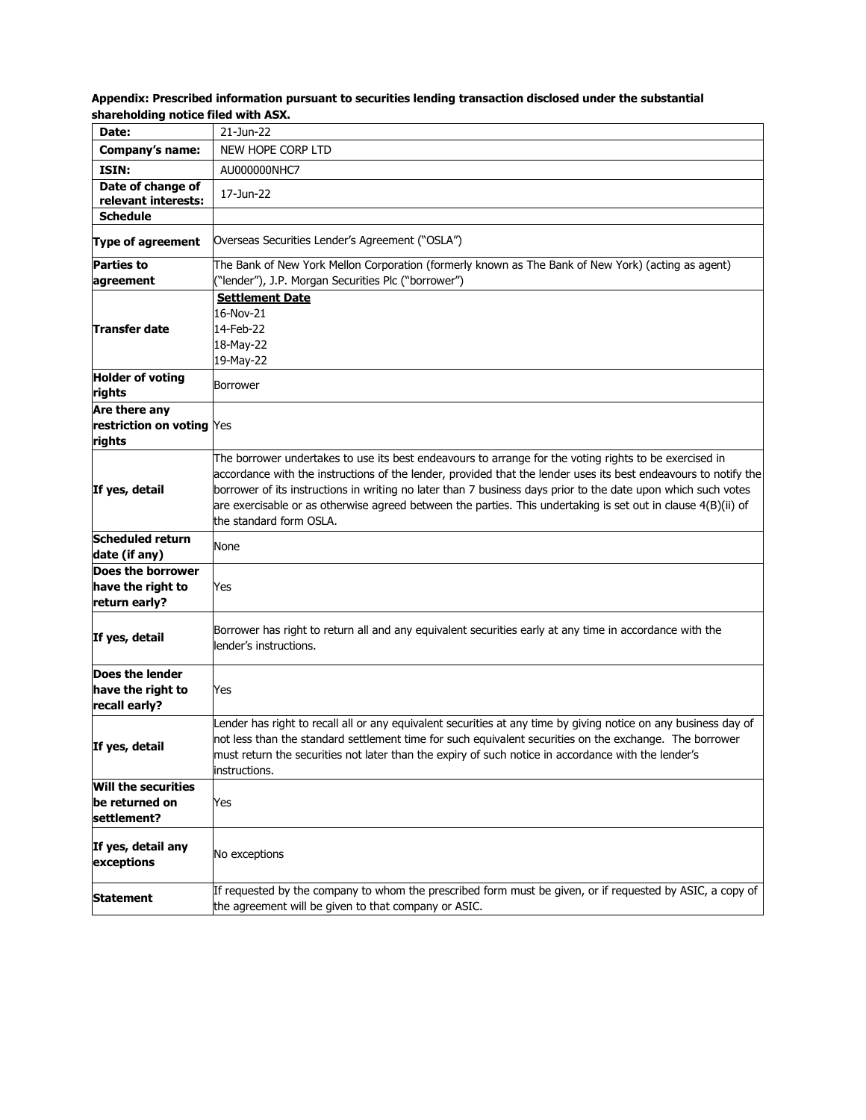| sharenoluniy hotice meu with ASA.                     |                                                                                                                                                                                                                                                                                                                                                                                                                                                                                        |
|-------------------------------------------------------|----------------------------------------------------------------------------------------------------------------------------------------------------------------------------------------------------------------------------------------------------------------------------------------------------------------------------------------------------------------------------------------------------------------------------------------------------------------------------------------|
| Date:                                                 | 21-Jun-22                                                                                                                                                                                                                                                                                                                                                                                                                                                                              |
| <b>Company's name:</b>                                | NEW HOPE CORP LTD                                                                                                                                                                                                                                                                                                                                                                                                                                                                      |
| ISIN:                                                 | AU000000NHC7                                                                                                                                                                                                                                                                                                                                                                                                                                                                           |
| Date of change of<br>relevant interests:              | 17-Jun-22                                                                                                                                                                                                                                                                                                                                                                                                                                                                              |
| <b>Schedule</b>                                       |                                                                                                                                                                                                                                                                                                                                                                                                                                                                                        |
| <b>Type of agreement</b>                              | Overseas Securities Lender's Agreement ("OSLA")                                                                                                                                                                                                                                                                                                                                                                                                                                        |
| <b>Parties to</b>                                     | The Bank of New York Mellon Corporation (formerly known as The Bank of New York) (acting as agent)                                                                                                                                                                                                                                                                                                                                                                                     |
| agreement                                             | ("lender"), J.P. Morgan Securities Plc ("borrower")                                                                                                                                                                                                                                                                                                                                                                                                                                    |
|                                                       | <b>Settlement Date</b>                                                                                                                                                                                                                                                                                                                                                                                                                                                                 |
|                                                       | 16-Nov-21                                                                                                                                                                                                                                                                                                                                                                                                                                                                              |
| Transfer date                                         | 14-Feb-22                                                                                                                                                                                                                                                                                                                                                                                                                                                                              |
|                                                       | 18-May-22                                                                                                                                                                                                                                                                                                                                                                                                                                                                              |
| <b>Holder of voting</b>                               | 19-May-22                                                                                                                                                                                                                                                                                                                                                                                                                                                                              |
| rights                                                | Borrower                                                                                                                                                                                                                                                                                                                                                                                                                                                                               |
| Are there any                                         |                                                                                                                                                                                                                                                                                                                                                                                                                                                                                        |
| restriction on voting Yes                             |                                                                                                                                                                                                                                                                                                                                                                                                                                                                                        |
| rights                                                |                                                                                                                                                                                                                                                                                                                                                                                                                                                                                        |
| If yes, detail                                        | The borrower undertakes to use its best endeavours to arrange for the voting rights to be exercised in<br>accordance with the instructions of the lender, provided that the lender uses its best endeavours to notify the<br>borrower of its instructions in writing no later than 7 business days prior to the date upon which such votes<br>are exercisable or as otherwise agreed between the parties. This undertaking is set out in clause 4(B)(ii) of<br>the standard form OSLA. |
| <b>Scheduled return</b><br>date (if any)              | None                                                                                                                                                                                                                                                                                                                                                                                                                                                                                   |
| Does the borrower                                     |                                                                                                                                                                                                                                                                                                                                                                                                                                                                                        |
| have the right to<br>return early?                    | Yes                                                                                                                                                                                                                                                                                                                                                                                                                                                                                    |
| If yes, detail                                        | Borrower has right to return all and any equivalent securities early at any time in accordance with the<br>lender's instructions.                                                                                                                                                                                                                                                                                                                                                      |
| Does the lender<br>have the right to<br>recall early? | Yes                                                                                                                                                                                                                                                                                                                                                                                                                                                                                    |
| If yes, detail                                        | Lender has right to recall all or any equivalent securities at any time by giving notice on any business day of<br>not less than the standard settlement time for such equivalent securities on the exchange. The borrower<br>must return the securities not later than the expiry of such notice in accordance with the lender's<br>instructions.                                                                                                                                     |
| Will the securities<br>be returned on<br>settlement?  | Yes                                                                                                                                                                                                                                                                                                                                                                                                                                                                                    |
| If yes, detail any<br>exceptions                      | No exceptions                                                                                                                                                                                                                                                                                                                                                                                                                                                                          |
| <b>Statement</b>                                      | If requested by the company to whom the prescribed form must be given, or if requested by ASIC, a copy of                                                                                                                                                                                                                                                                                                                                                                              |

the agreement will be given to that company or ASIC.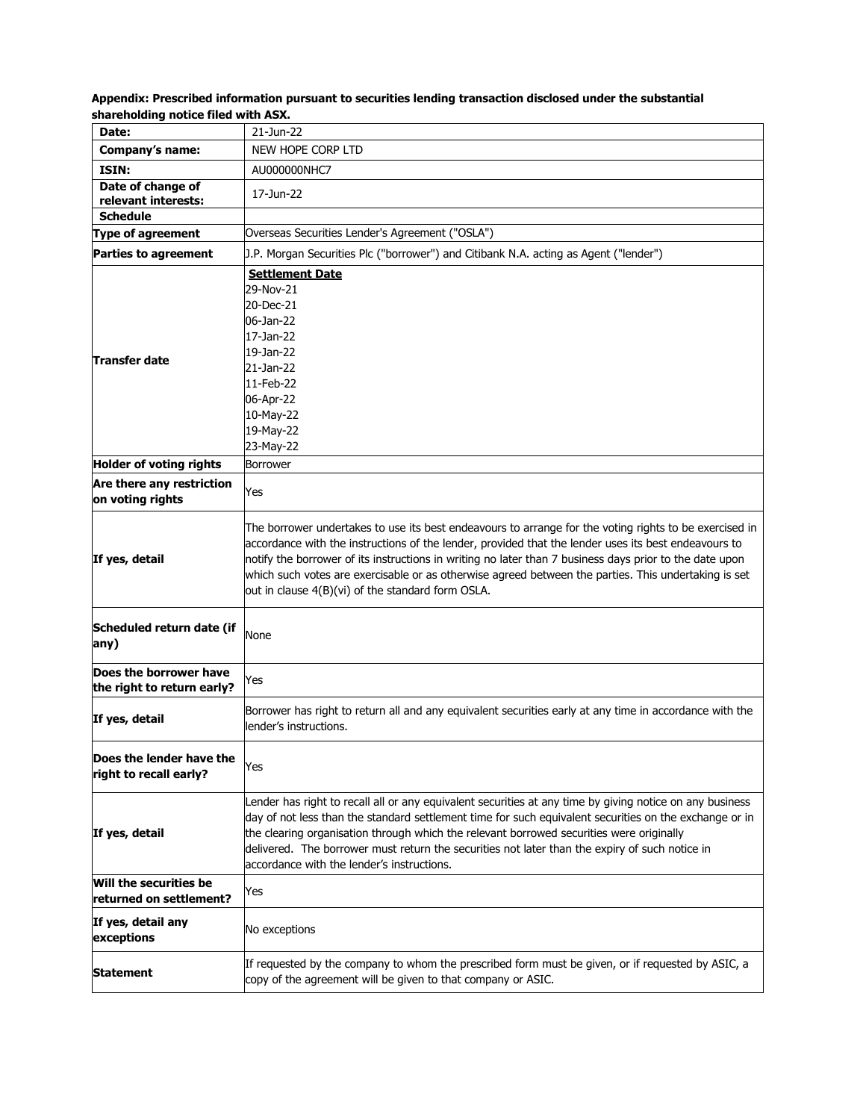| Date:                                                | 21-Jun-22                                                                                                                         |
|------------------------------------------------------|-----------------------------------------------------------------------------------------------------------------------------------|
| Company's name:                                      | NEW HOPE CORP LTD                                                                                                                 |
| ISIN:                                                | AU000000NHC7                                                                                                                      |
| Date of change of                                    | 17-Jun-22                                                                                                                         |
| relevant interests:                                  |                                                                                                                                   |
| <b>Schedule</b>                                      |                                                                                                                                   |
| <b>Type of agreement</b>                             | Overseas Securities Lender's Agreement ("OSLA")                                                                                   |
| <b>Parties to agreement</b>                          | J.P. Morgan Securities Plc ("borrower") and Citibank N.A. acting as Agent ("lender")                                              |
|                                                      | <b>Settlement Date</b>                                                                                                            |
|                                                      | 29-Nov-21                                                                                                                         |
|                                                      | 20-Dec-21                                                                                                                         |
|                                                      | 06-Jan-22                                                                                                                         |
|                                                      | 17-Jan-22                                                                                                                         |
| Transfer date                                        | 19-Jan-22<br>21-Jan-22                                                                                                            |
|                                                      | 11-Feb-22                                                                                                                         |
|                                                      | 06-Apr-22                                                                                                                         |
|                                                      | 10-May-22                                                                                                                         |
|                                                      | 19-May-22                                                                                                                         |
|                                                      | 23-May-22                                                                                                                         |
| Holder of voting rights                              | <b>Borrower</b>                                                                                                                   |
| Are there any restriction                            |                                                                                                                                   |
| on voting rights                                     | Yes                                                                                                                               |
|                                                      | The borrower undertakes to use its best endeavours to arrange for the voting rights to be exercised in                            |
|                                                      | accordance with the instructions of the lender, provided that the lender uses its best endeavours to                              |
| If yes, detail                                       | notify the borrower of its instructions in writing no later than 7 business days prior to the date upon                           |
|                                                      | which such votes are exercisable or as otherwise agreed between the parties. This undertaking is set                              |
|                                                      | out in clause 4(B)(vi) of the standard form OSLA.                                                                                 |
| Scheduled return date (if                            | <b>None</b>                                                                                                                       |
| any)                                                 |                                                                                                                                   |
| Does the borrower have<br>the right to return early? | Yes                                                                                                                               |
|                                                      |                                                                                                                                   |
| If yes, detail                                       | Borrower has right to return all and any equivalent securities early at any time in accordance with the<br>lender's instructions. |
|                                                      |                                                                                                                                   |
| Does the lender have the                             | Yes                                                                                                                               |
| right to recall early?                               |                                                                                                                                   |
|                                                      | Lender has right to recall all or any equivalent securities at any time by giving notice on any business                          |
|                                                      | day of not less than the standard settlement time for such equivalent securities on the exchange or in                            |
| If yes, detail                                       | the clearing organisation through which the relevant borrowed securities were originally                                          |
|                                                      | delivered. The borrower must return the securities not later than the expiry of such notice in                                    |
|                                                      | accordance with the lender's instructions.                                                                                        |
| Will the securities be                               | Yes                                                                                                                               |
| returned on settlement?                              |                                                                                                                                   |
| If yes, detail any                                   |                                                                                                                                   |
| exceptions                                           | No exceptions                                                                                                                     |
|                                                      | If requested by the company to whom the prescribed form must be given, or if requested by ASIC, a                                 |
| Statement                                            | copy of the agreement will be given to that company or ASIC.                                                                      |
|                                                      |                                                                                                                                   |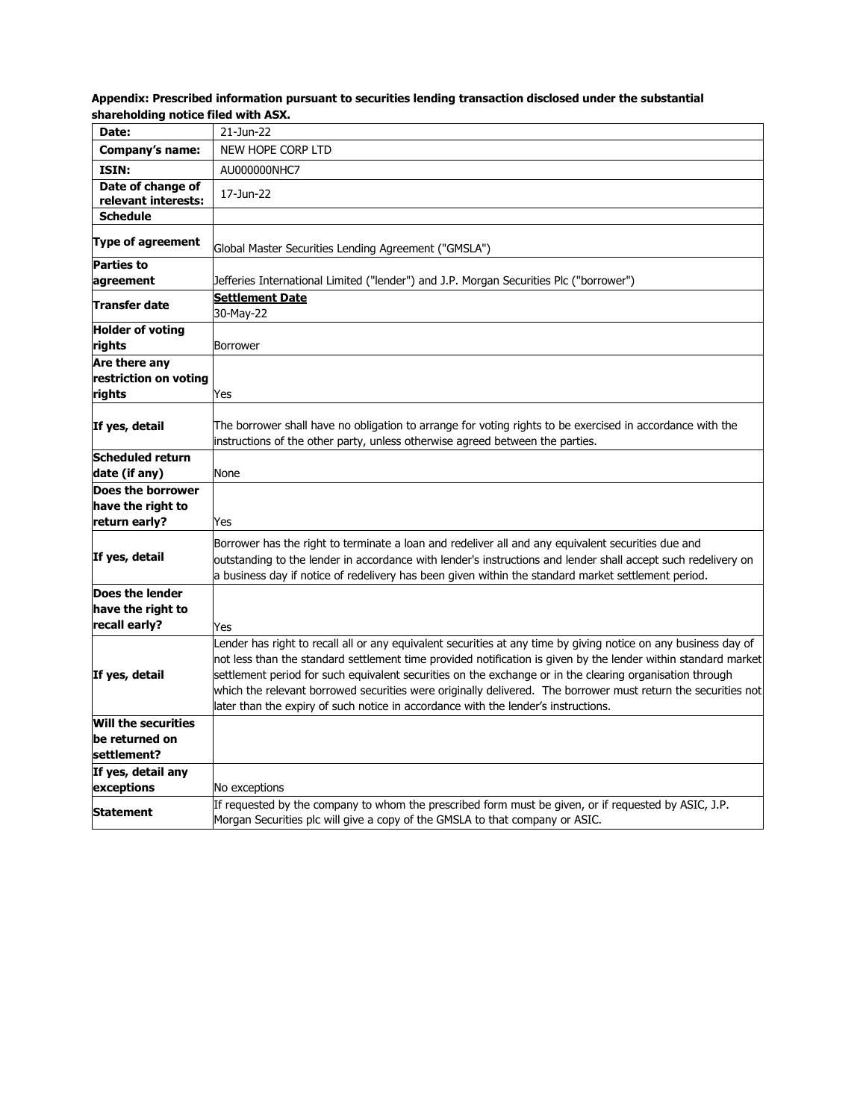| Date:                                            | 21-Jun-22                                                                                                                                                                                                                                                                                                                                                                                                                                                                                                                                            |
|--------------------------------------------------|------------------------------------------------------------------------------------------------------------------------------------------------------------------------------------------------------------------------------------------------------------------------------------------------------------------------------------------------------------------------------------------------------------------------------------------------------------------------------------------------------------------------------------------------------|
| Company's name:                                  | NEW HOPE CORP LTD                                                                                                                                                                                                                                                                                                                                                                                                                                                                                                                                    |
| ISIN:                                            | AU000000NHC7                                                                                                                                                                                                                                                                                                                                                                                                                                                                                                                                         |
| Date of change of<br>relevant interests:         | 17-Jun-22                                                                                                                                                                                                                                                                                                                                                                                                                                                                                                                                            |
| <b>Schedule</b>                                  |                                                                                                                                                                                                                                                                                                                                                                                                                                                                                                                                                      |
| Type of agreement                                | Global Master Securities Lending Agreement ("GMSLA")                                                                                                                                                                                                                                                                                                                                                                                                                                                                                                 |
| <b>Parties to</b><br>agreement                   | Jefferies International Limited ("lender") and J.P. Morgan Securities Plc ("borrower")                                                                                                                                                                                                                                                                                                                                                                                                                                                               |
| Transfer date                                    | <b>Settlement Date</b><br>30-May-22                                                                                                                                                                                                                                                                                                                                                                                                                                                                                                                  |
| <b>Holder of voting</b><br>rights                | Borrower                                                                                                                                                                                                                                                                                                                                                                                                                                                                                                                                             |
| Are there any<br>restriction on voting<br>rights | Yes                                                                                                                                                                                                                                                                                                                                                                                                                                                                                                                                                  |
| If yes, detail                                   | The borrower shall have no obligation to arrange for voting rights to be exercised in accordance with the<br>instructions of the other party, unless otherwise agreed between the parties.                                                                                                                                                                                                                                                                                                                                                           |
| <b>Scheduled return</b><br>date (if any)         | None                                                                                                                                                                                                                                                                                                                                                                                                                                                                                                                                                 |
| Does the borrower                                |                                                                                                                                                                                                                                                                                                                                                                                                                                                                                                                                                      |
| have the right to                                |                                                                                                                                                                                                                                                                                                                                                                                                                                                                                                                                                      |
| return early?                                    | Yes                                                                                                                                                                                                                                                                                                                                                                                                                                                                                                                                                  |
| If yes, detail                                   | Borrower has the right to terminate a loan and redeliver all and any equivalent securities due and<br>outstanding to the lender in accordance with lender's instructions and lender shall accept such redelivery on<br>a business day if notice of redelivery has been given within the standard market settlement period.                                                                                                                                                                                                                           |
| Does the lender                                  |                                                                                                                                                                                                                                                                                                                                                                                                                                                                                                                                                      |
| have the right to                                |                                                                                                                                                                                                                                                                                                                                                                                                                                                                                                                                                      |
| recall early?                                    | Yes                                                                                                                                                                                                                                                                                                                                                                                                                                                                                                                                                  |
| If yes, detail                                   | Lender has right to recall all or any equivalent securities at any time by giving notice on any business day of<br>not less than the standard settlement time provided notification is given by the lender within standard market<br>settlement period for such equivalent securities on the exchange or in the clearing organisation through<br>which the relevant borrowed securities were originally delivered. The borrower must return the securities not<br>later than the expiry of such notice in accordance with the lender's instructions. |
| <b>Will the securities</b>                       |                                                                                                                                                                                                                                                                                                                                                                                                                                                                                                                                                      |
| be returned on                                   |                                                                                                                                                                                                                                                                                                                                                                                                                                                                                                                                                      |
| settlement?                                      |                                                                                                                                                                                                                                                                                                                                                                                                                                                                                                                                                      |
| If yes, detail any                               |                                                                                                                                                                                                                                                                                                                                                                                                                                                                                                                                                      |
| exceptions                                       | No exceptions                                                                                                                                                                                                                                                                                                                                                                                                                                                                                                                                        |
| <b>Statement</b>                                 | If requested by the company to whom the prescribed form must be given, or if requested by ASIC, J.P.<br>Morgan Securities plc will give a copy of the GMSLA to that company or ASIC.                                                                                                                                                                                                                                                                                                                                                                 |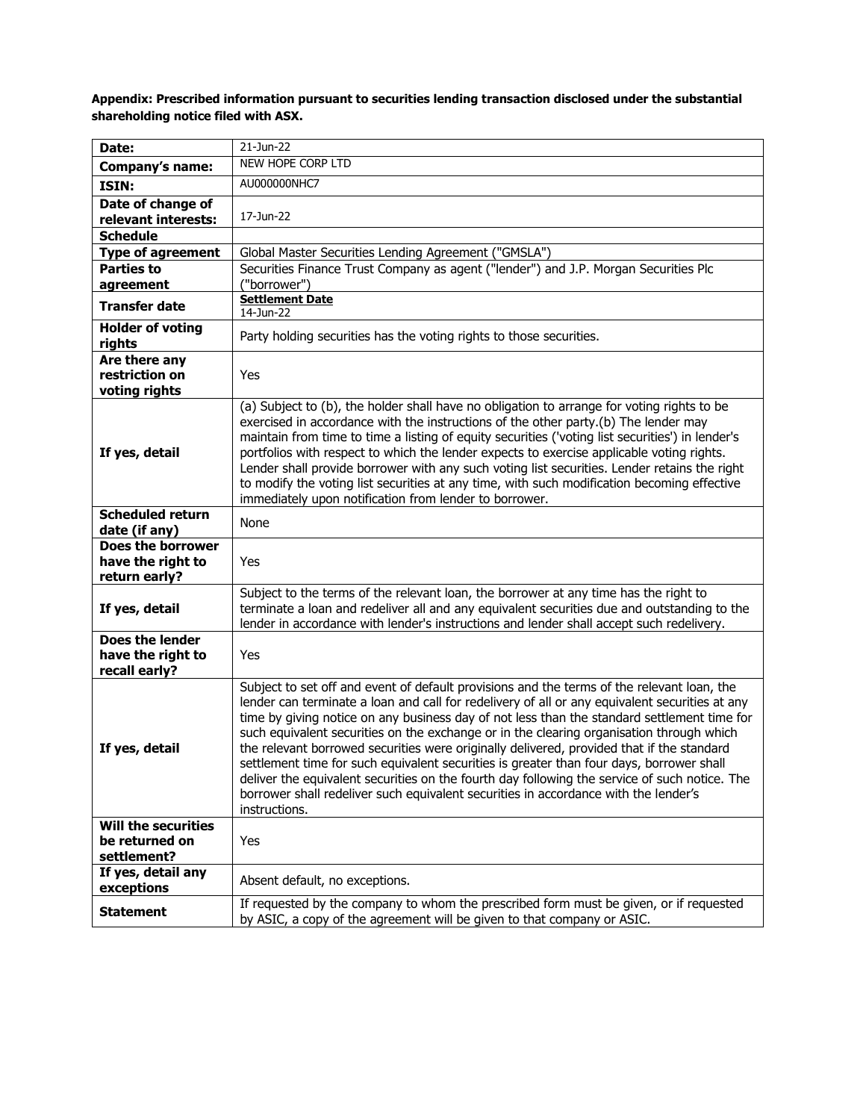| Date:                                                   | 21-Jun-22                                                                                                                                                                                                                                                                                                                                                                                                                                                                                                                                                                                                                                                                                                                                                                                 |
|---------------------------------------------------------|-------------------------------------------------------------------------------------------------------------------------------------------------------------------------------------------------------------------------------------------------------------------------------------------------------------------------------------------------------------------------------------------------------------------------------------------------------------------------------------------------------------------------------------------------------------------------------------------------------------------------------------------------------------------------------------------------------------------------------------------------------------------------------------------|
| Company's name:                                         | NEW HOPE CORP LTD                                                                                                                                                                                                                                                                                                                                                                                                                                                                                                                                                                                                                                                                                                                                                                         |
| ISIN:                                                   | AU000000NHC7                                                                                                                                                                                                                                                                                                                                                                                                                                                                                                                                                                                                                                                                                                                                                                              |
| Date of change of<br>relevant interests:                | 17-Jun-22                                                                                                                                                                                                                                                                                                                                                                                                                                                                                                                                                                                                                                                                                                                                                                                 |
| <b>Schedule</b>                                         |                                                                                                                                                                                                                                                                                                                                                                                                                                                                                                                                                                                                                                                                                                                                                                                           |
| <b>Type of agreement</b>                                | Global Master Securities Lending Agreement ("GMSLA")                                                                                                                                                                                                                                                                                                                                                                                                                                                                                                                                                                                                                                                                                                                                      |
| <b>Parties to</b>                                       | Securities Finance Trust Company as agent ("lender") and J.P. Morgan Securities Plc                                                                                                                                                                                                                                                                                                                                                                                                                                                                                                                                                                                                                                                                                                       |
| agreement                                               | ("borrower")<br><b>Settlement Date</b>                                                                                                                                                                                                                                                                                                                                                                                                                                                                                                                                                                                                                                                                                                                                                    |
| <b>Transfer date</b>                                    | 14-Jun-22                                                                                                                                                                                                                                                                                                                                                                                                                                                                                                                                                                                                                                                                                                                                                                                 |
| <b>Holder of voting</b><br>rights                       | Party holding securities has the voting rights to those securities.                                                                                                                                                                                                                                                                                                                                                                                                                                                                                                                                                                                                                                                                                                                       |
| Are there any<br>restriction on<br>voting rights        | Yes                                                                                                                                                                                                                                                                                                                                                                                                                                                                                                                                                                                                                                                                                                                                                                                       |
| If yes, detail                                          | (a) Subject to (b), the holder shall have no obligation to arrange for voting rights to be<br>exercised in accordance with the instructions of the other party.(b) The lender may<br>maintain from time to time a listing of equity securities ('voting list securities') in lender's<br>portfolios with respect to which the lender expects to exercise applicable voting rights.<br>Lender shall provide borrower with any such voting list securities. Lender retains the right<br>to modify the voting list securities at any time, with such modification becoming effective<br>immediately upon notification from lender to borrower.                                                                                                                                               |
| <b>Scheduled return</b><br>date (if any)                | None                                                                                                                                                                                                                                                                                                                                                                                                                                                                                                                                                                                                                                                                                                                                                                                      |
| Does the borrower<br>have the right to<br>return early? | Yes                                                                                                                                                                                                                                                                                                                                                                                                                                                                                                                                                                                                                                                                                                                                                                                       |
| If yes, detail                                          | Subject to the terms of the relevant loan, the borrower at any time has the right to<br>terminate a loan and redeliver all and any equivalent securities due and outstanding to the<br>lender in accordance with lender's instructions and lender shall accept such redelivery.                                                                                                                                                                                                                                                                                                                                                                                                                                                                                                           |
| Does the lender<br>have the right to<br>recall early?   | Yes                                                                                                                                                                                                                                                                                                                                                                                                                                                                                                                                                                                                                                                                                                                                                                                       |
| If yes, detail                                          | Subject to set off and event of default provisions and the terms of the relevant loan, the<br>lender can terminate a loan and call for redelivery of all or any equivalent securities at any<br>time by giving notice on any business day of not less than the standard settlement time for<br>such equivalent securities on the exchange or in the clearing organisation through which<br>the relevant borrowed securities were originally delivered, provided that if the standard<br>settlement time for such equivalent securities is greater than four days, borrower shall<br>deliver the equivalent securities on the fourth day following the service of such notice. The<br>borrower shall redeliver such equivalent securities in accordance with the lender's<br>instructions. |
| <b>Will the securities</b>                              |                                                                                                                                                                                                                                                                                                                                                                                                                                                                                                                                                                                                                                                                                                                                                                                           |
| be returned on<br>settlement?                           | Yes                                                                                                                                                                                                                                                                                                                                                                                                                                                                                                                                                                                                                                                                                                                                                                                       |
| If yes, detail any<br>exceptions                        | Absent default, no exceptions.                                                                                                                                                                                                                                                                                                                                                                                                                                                                                                                                                                                                                                                                                                                                                            |
| <b>Statement</b>                                        | If requested by the company to whom the prescribed form must be given, or if requested<br>by ASIC, a copy of the agreement will be given to that company or ASIC.                                                                                                                                                                                                                                                                                                                                                                                                                                                                                                                                                                                                                         |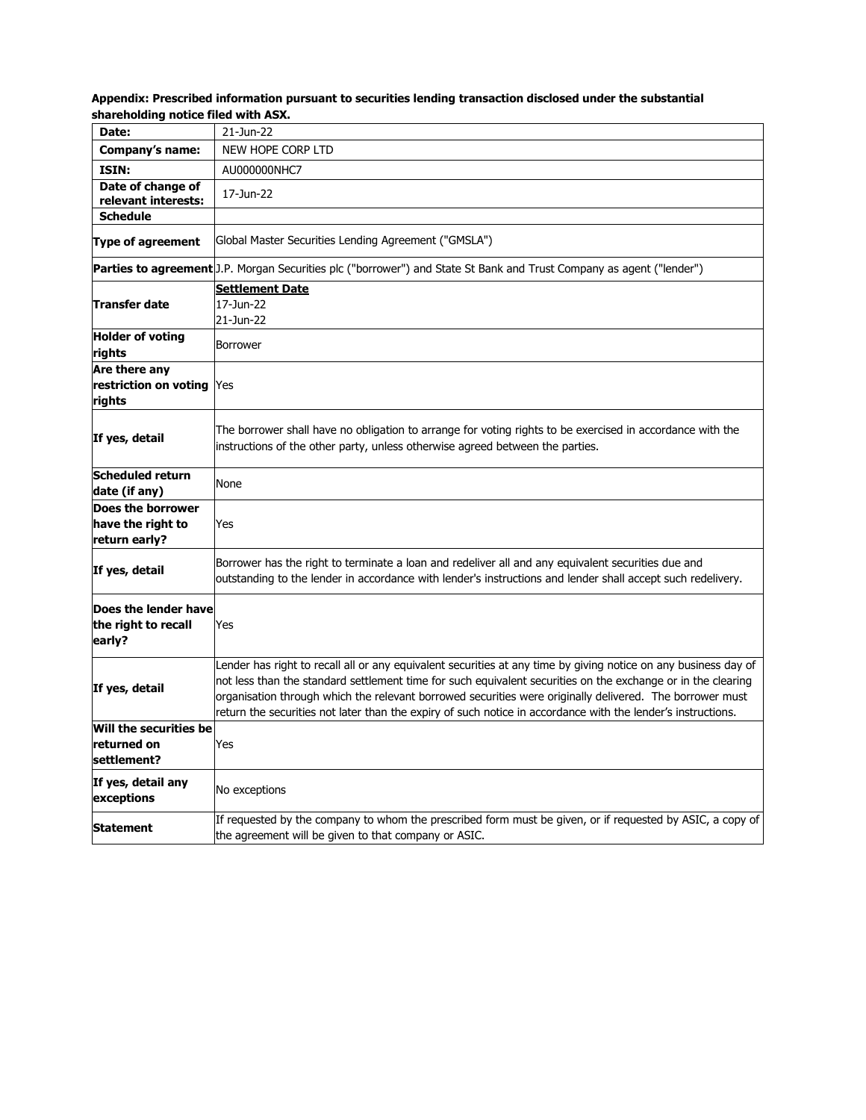| Appendix: Prescribed information pursuant to securities lending transaction disclosed under the substantial |  |
|-------------------------------------------------------------------------------------------------------------|--|
| shareholding notice filed with ASX.                                                                         |  |

| Date:                                                   | 21-Jun-22                                                                                                                                                                                                                                                                                                                                                                                                                                                   |
|---------------------------------------------------------|-------------------------------------------------------------------------------------------------------------------------------------------------------------------------------------------------------------------------------------------------------------------------------------------------------------------------------------------------------------------------------------------------------------------------------------------------------------|
| Company's name:                                         | NEW HOPE CORP LTD                                                                                                                                                                                                                                                                                                                                                                                                                                           |
| ISIN:                                                   | AU000000NHC7                                                                                                                                                                                                                                                                                                                                                                                                                                                |
| Date of change of<br>relevant interests:                | 17-Jun-22                                                                                                                                                                                                                                                                                                                                                                                                                                                   |
| <b>Schedule</b>                                         |                                                                                                                                                                                                                                                                                                                                                                                                                                                             |
| <b>Type of agreement</b>                                | Global Master Securities Lending Agreement ("GMSLA")                                                                                                                                                                                                                                                                                                                                                                                                        |
|                                                         | Parties to agreement [J.P. Morgan Securities plc ("borrower") and State St Bank and Trust Company as agent ("lender")                                                                                                                                                                                                                                                                                                                                       |
| Transfer date                                           | <b>Settlement Date</b><br>17-Jun-22<br>21-Jun-22                                                                                                                                                                                                                                                                                                                                                                                                            |
| <b>Holder of voting</b><br>rights                       | <b>Borrower</b>                                                                                                                                                                                                                                                                                                                                                                                                                                             |
| Are there any<br>restriction on voting<br>rights        | Yes                                                                                                                                                                                                                                                                                                                                                                                                                                                         |
| If yes, detail                                          | The borrower shall have no obligation to arrange for voting rights to be exercised in accordance with the<br>instructions of the other party, unless otherwise agreed between the parties.                                                                                                                                                                                                                                                                  |
| <b>Scheduled return</b><br>date (if any)                | None                                                                                                                                                                                                                                                                                                                                                                                                                                                        |
| Does the borrower<br>have the right to<br>return early? | Yes                                                                                                                                                                                                                                                                                                                                                                                                                                                         |
| If yes, detail                                          | Borrower has the right to terminate a loan and redeliver all and any equivalent securities due and<br>outstanding to the lender in accordance with lender's instructions and lender shall accept such redelivery.                                                                                                                                                                                                                                           |
| Does the lender have<br>the right to recall<br>early?   | Yes                                                                                                                                                                                                                                                                                                                                                                                                                                                         |
| If yes, detail                                          | Lender has right to recall all or any equivalent securities at any time by giving notice on any business day of<br>not less than the standard settlement time for such equivalent securities on the exchange or in the clearing<br>organisation through which the relevant borrowed securities were originally delivered. The borrower must<br>return the securities not later than the expiry of such notice in accordance with the lender's instructions. |
| Will the securities be<br>returned on<br>settlement?    | Yes                                                                                                                                                                                                                                                                                                                                                                                                                                                         |
| If yes, detail any<br>exceptions                        | No exceptions                                                                                                                                                                                                                                                                                                                                                                                                                                               |
| Statement                                               | If requested by the company to whom the prescribed form must be given, or if requested by ASIC, a copy of<br>the agreement will be given to that company or ASIC.                                                                                                                                                                                                                                                                                           |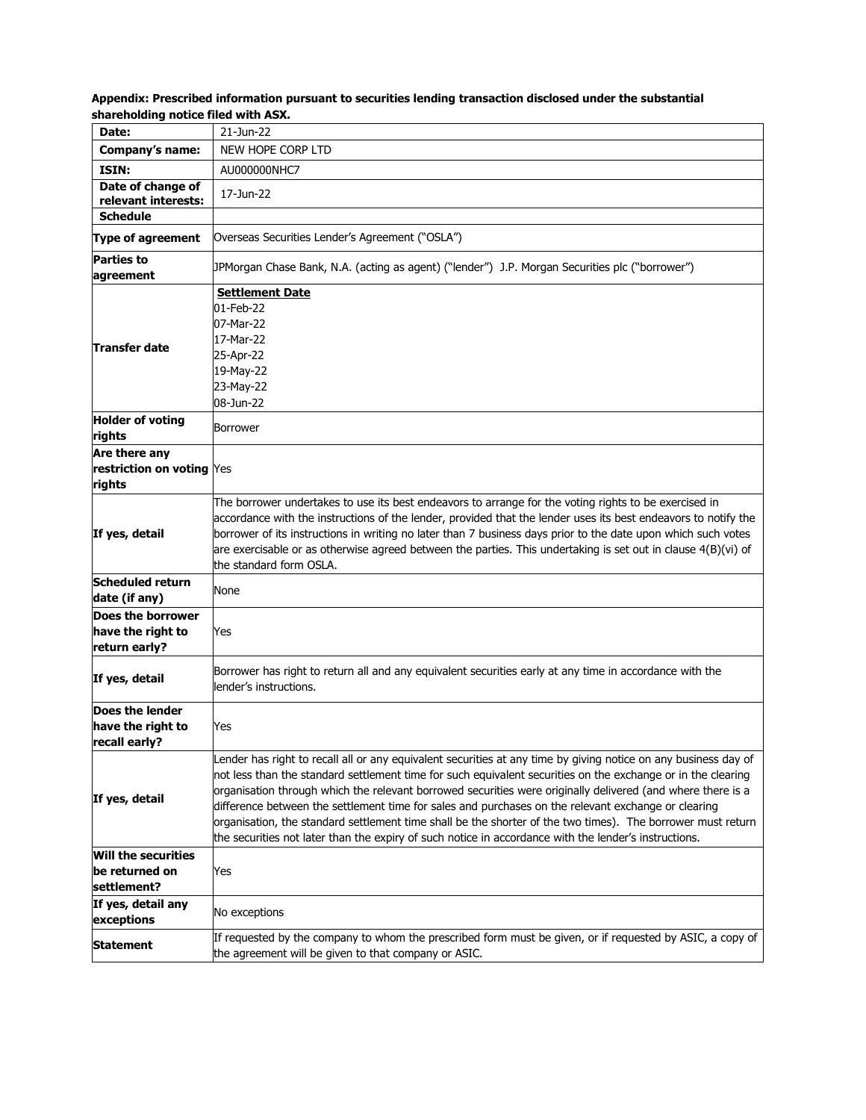| Date:                                                       | 21-Jun-22                                                                                                                                                                                                                                                                                                                                                                                                                                                                                                                                                                                                                                                                     |
|-------------------------------------------------------------|-------------------------------------------------------------------------------------------------------------------------------------------------------------------------------------------------------------------------------------------------------------------------------------------------------------------------------------------------------------------------------------------------------------------------------------------------------------------------------------------------------------------------------------------------------------------------------------------------------------------------------------------------------------------------------|
| <b>Company's name:</b>                                      | NEW HOPE CORP LTD                                                                                                                                                                                                                                                                                                                                                                                                                                                                                                                                                                                                                                                             |
| ISIN:                                                       | AU000000NHC7                                                                                                                                                                                                                                                                                                                                                                                                                                                                                                                                                                                                                                                                  |
| Date of change of<br>relevant interests:                    | 17-Jun-22                                                                                                                                                                                                                                                                                                                                                                                                                                                                                                                                                                                                                                                                     |
| <b>Schedule</b>                                             |                                                                                                                                                                                                                                                                                                                                                                                                                                                                                                                                                                                                                                                                               |
| <b>Type of agreement</b>                                    | Overseas Securities Lender's Agreement ("OSLA")                                                                                                                                                                                                                                                                                                                                                                                                                                                                                                                                                                                                                               |
| <b>Parties to</b><br>agreement                              | ("DPMorgan Chase Bank, N.A. (acting as agent) ("lender") J.P. Morgan Securities plc ("borrower                                                                                                                                                                                                                                                                                                                                                                                                                                                                                                                                                                                |
| Transfer date                                               | <b>Settlement Date</b><br>01-Feb-22<br>07-Mar-22<br>17-Mar-22<br>25-Apr-22<br>19-May-22<br>23-May-22<br>08-Jun-22                                                                                                                                                                                                                                                                                                                                                                                                                                                                                                                                                             |
| <b>Holder of voting</b><br>rights                           | Borrower                                                                                                                                                                                                                                                                                                                                                                                                                                                                                                                                                                                                                                                                      |
| Are there any<br>restriction on voting Yes<br>rights        |                                                                                                                                                                                                                                                                                                                                                                                                                                                                                                                                                                                                                                                                               |
| If yes, detail                                              | The borrower undertakes to use its best endeavors to arrange for the voting rights to be exercised in<br>accordance with the instructions of the lender, provided that the lender uses its best endeavors to notify the<br>borrower of its instructions in writing no later than 7 business days prior to the date upon which such votes<br>are exercisable or as otherwise agreed between the parties. This undertaking is set out in clause 4(B)(vi) of<br>the standard form OSLA.                                                                                                                                                                                          |
| <b>Scheduled return</b><br>date (if any)                    | None                                                                                                                                                                                                                                                                                                                                                                                                                                                                                                                                                                                                                                                                          |
| Does the borrower<br>have the right to<br>return early?     | Yes                                                                                                                                                                                                                                                                                                                                                                                                                                                                                                                                                                                                                                                                           |
| If yes, detail                                              | Borrower has right to return all and any equivalent securities early at any time in accordance with the<br>lender's instructions.                                                                                                                                                                                                                                                                                                                                                                                                                                                                                                                                             |
| Does the lender<br>have the right to<br>recall early?       | Yes                                                                                                                                                                                                                                                                                                                                                                                                                                                                                                                                                                                                                                                                           |
| If yes, detail                                              | Lender has right to recall all or any equivalent securities at any time by giving notice on any business day of<br>not less than the standard settlement time for such equivalent securities on the exchange or in the clearing<br>organisation through which the relevant borrowed securities were originally delivered (and where there is a<br>difference between the settlement time for sales and purchases on the relevant exchange or clearing<br>organisation, the standard settlement time shall be the shorter of the two times). The borrower must return<br>the securities not later than the expiry of such notice in accordance with the lender's instructions. |
| <b>Will the securities</b><br>be returned on<br>settlement? | Yes                                                                                                                                                                                                                                                                                                                                                                                                                                                                                                                                                                                                                                                                           |
| If yes, detail any<br>exceptions                            | No exceptions                                                                                                                                                                                                                                                                                                                                                                                                                                                                                                                                                                                                                                                                 |
| <b>Statement</b>                                            | If requested by the company to whom the prescribed form must be given, or if requested by ASIC, a copy of<br>the agreement will be given to that company or ASIC.                                                                                                                                                                                                                                                                                                                                                                                                                                                                                                             |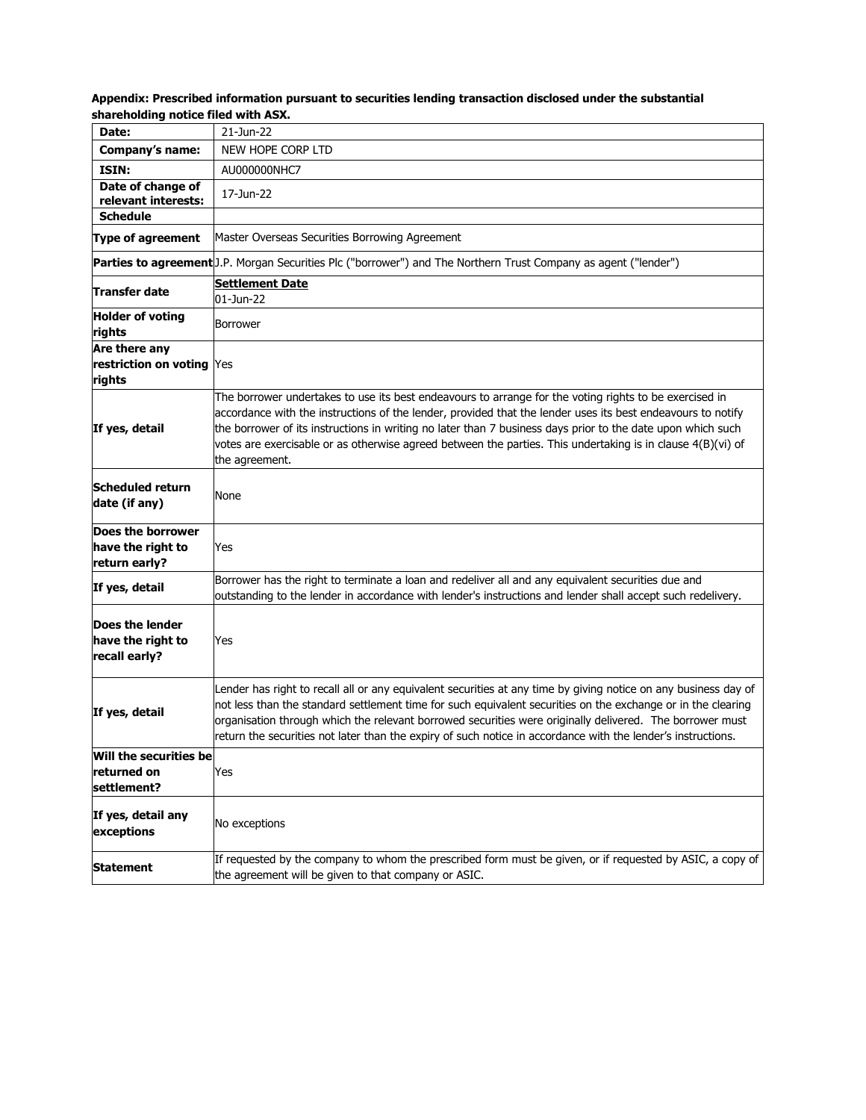| Appendix: Prescribed information pursuant to securities lending transaction disclosed under the substantial |  |
|-------------------------------------------------------------------------------------------------------------|--|
| shareholding notice filed with ASX.                                                                         |  |

| Date:                                                   | 21-Jun-22                                                                                                                                                                                                                                                                                                                                                                                                                                                             |
|---------------------------------------------------------|-----------------------------------------------------------------------------------------------------------------------------------------------------------------------------------------------------------------------------------------------------------------------------------------------------------------------------------------------------------------------------------------------------------------------------------------------------------------------|
| Company's name:                                         | NEW HOPE CORP LTD                                                                                                                                                                                                                                                                                                                                                                                                                                                     |
| ISIN:                                                   | AU000000NHC7                                                                                                                                                                                                                                                                                                                                                                                                                                                          |
| Date of change of<br>relevant interests:                | 17-Jun-22                                                                                                                                                                                                                                                                                                                                                                                                                                                             |
| <b>Schedule</b>                                         |                                                                                                                                                                                                                                                                                                                                                                                                                                                                       |
| <b>Type of agreement</b>                                | Master Overseas Securities Borrowing Agreement                                                                                                                                                                                                                                                                                                                                                                                                                        |
|                                                         | Parties to agreement J.P. Morgan Securities Plc ("borrower") and The Northern Trust Company as agent ("lender")                                                                                                                                                                                                                                                                                                                                                       |
| Transfer date                                           | <b>Settlement Date</b><br>01-Jun-22                                                                                                                                                                                                                                                                                                                                                                                                                                   |
| <b>Holder of voting</b><br>rights                       | <b>Borrower</b>                                                                                                                                                                                                                                                                                                                                                                                                                                                       |
| Are there any<br>restriction on voting Yes<br>rights    |                                                                                                                                                                                                                                                                                                                                                                                                                                                                       |
| If yes, detail                                          | The borrower undertakes to use its best endeavours to arrange for the voting rights to be exercised in<br>accordance with the instructions of the lender, provided that the lender uses its best endeavours to notify<br>the borrower of its instructions in writing no later than 7 business days prior to the date upon which such<br>votes are exercisable or as otherwise agreed between the parties. This undertaking is in clause 4(B)(vi) of<br>the agreement. |
| Scheduled return<br>date (if any)                       | None                                                                                                                                                                                                                                                                                                                                                                                                                                                                  |
| Does the borrower<br>have the right to<br>return early? | Yes                                                                                                                                                                                                                                                                                                                                                                                                                                                                   |
| If yes, detail                                          | Borrower has the right to terminate a loan and redeliver all and any equivalent securities due and<br>outstanding to the lender in accordance with lender's instructions and lender shall accept such redelivery.                                                                                                                                                                                                                                                     |
| Does the lender<br>have the right to<br>recall early?   | Yes                                                                                                                                                                                                                                                                                                                                                                                                                                                                   |
| If yes, detail                                          | Lender has right to recall all or any equivalent securities at any time by giving notice on any business day of<br>not less than the standard settlement time for such equivalent securities on the exchange or in the clearing<br>organisation through which the relevant borrowed securities were originally delivered. The borrower must<br>return the securities not later than the expiry of such notice in accordance with the lender's instructions.           |
| Will the securities be<br>returned on<br>settlement?    | Yes                                                                                                                                                                                                                                                                                                                                                                                                                                                                   |
| If yes, detail any<br>exceptions                        | No exceptions                                                                                                                                                                                                                                                                                                                                                                                                                                                         |
| <b>Statement</b>                                        | If requested by the company to whom the prescribed form must be given, or if requested by ASIC, a copy of<br>the agreement will be given to that company or ASIC.                                                                                                                                                                                                                                                                                                     |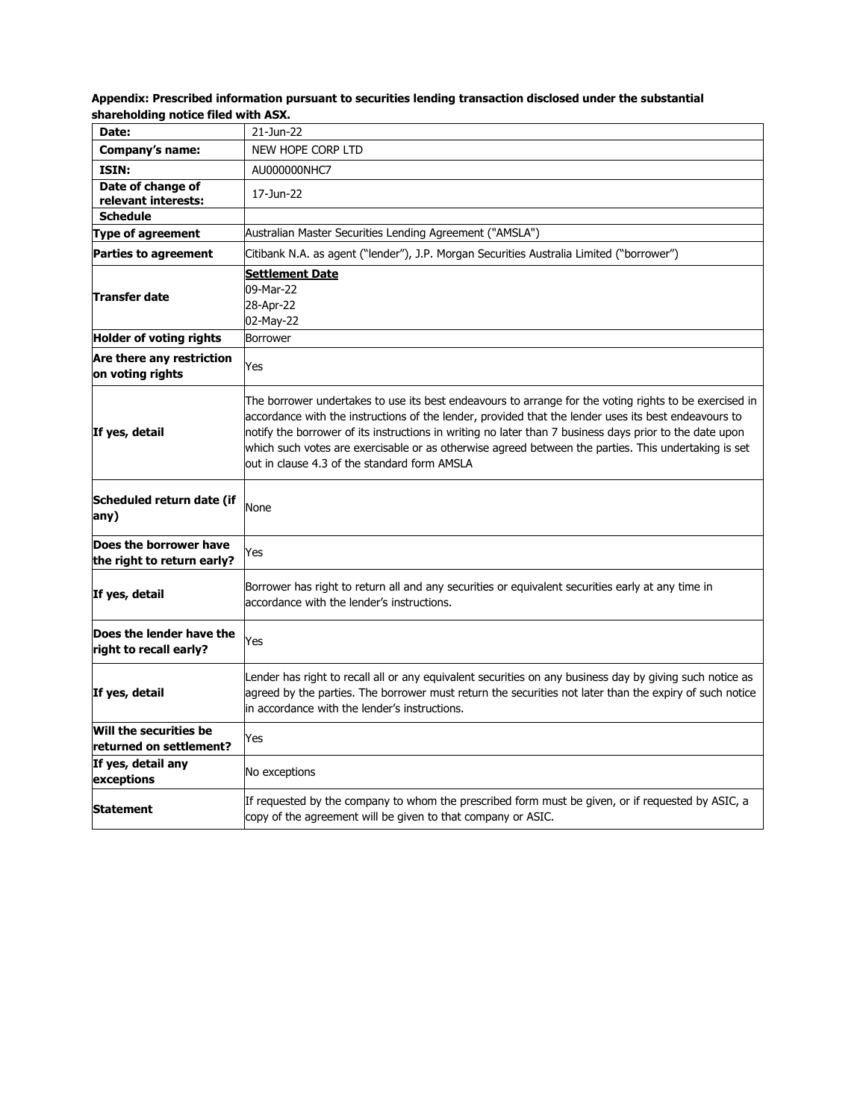| Date:                                                | 21-Jun-22                                                                                                                                                                                                                                                                                                                                                                                                                                                                         |
|------------------------------------------------------|-----------------------------------------------------------------------------------------------------------------------------------------------------------------------------------------------------------------------------------------------------------------------------------------------------------------------------------------------------------------------------------------------------------------------------------------------------------------------------------|
| Company's name:                                      | NEW HOPE CORP LTD                                                                                                                                                                                                                                                                                                                                                                                                                                                                 |
| ISIN:                                                | AU000000NHC7                                                                                                                                                                                                                                                                                                                                                                                                                                                                      |
| Date of change of<br>relevant interests:             | 17-Jun-22                                                                                                                                                                                                                                                                                                                                                                                                                                                                         |
| <b>Schedule</b>                                      |                                                                                                                                                                                                                                                                                                                                                                                                                                                                                   |
| <b>Type of agreement</b>                             | Australian Master Securities Lending Agreement ("AMSLA")                                                                                                                                                                                                                                                                                                                                                                                                                          |
| <b>Parties to agreement</b>                          | Citibank N.A. as agent ("lender"), J.P. Morgan Securities Australia Limited ("borrower")                                                                                                                                                                                                                                                                                                                                                                                          |
| Transfer date                                        | <b>Settlement Date</b><br>09-Mar-22<br>28-Apr-22<br>02-May-22                                                                                                                                                                                                                                                                                                                                                                                                                     |
| <b>Holder of voting rights</b>                       | Borrower                                                                                                                                                                                                                                                                                                                                                                                                                                                                          |
| Are there any restriction<br>on voting rights        | Yes                                                                                                                                                                                                                                                                                                                                                                                                                                                                               |
| If yes, detail                                       | The borrower undertakes to use its best endeavours to arrange for the voting rights to be exercised in<br>accordance with the instructions of the lender, provided that the lender uses its best endeavours to<br>notify the borrower of its instructions in writing no later than 7 business days prior to the date upon<br>which such votes are exercisable or as otherwise agreed between the parties. This undertaking is set<br>out in clause 4.3 of the standard form AMSLA |
| Scheduled return date (if<br>any)                    | None                                                                                                                                                                                                                                                                                                                                                                                                                                                                              |
| Does the borrower have<br>the right to return early? | Yes                                                                                                                                                                                                                                                                                                                                                                                                                                                                               |
| If yes, detail                                       | Borrower has right to return all and any securities or equivalent securities early at any time in<br>accordance with the lender's instructions.                                                                                                                                                                                                                                                                                                                                   |
| Does the lender have the<br>right to recall early?   | Yes                                                                                                                                                                                                                                                                                                                                                                                                                                                                               |
| If yes, detail                                       | Lender has right to recall all or any equivalent securities on any business day by giving such notice as<br>agreed by the parties. The borrower must return the securities not later than the expiry of such notice<br>in accordance with the lender's instructions.                                                                                                                                                                                                              |
| Will the securities be<br>returned on settlement?    | Yes                                                                                                                                                                                                                                                                                                                                                                                                                                                                               |
| If yes, detail any<br>exceptions                     | No exceptions                                                                                                                                                                                                                                                                                                                                                                                                                                                                     |
| Statement                                            | If requested by the company to whom the prescribed form must be given, or if requested by ASIC, a<br>copy of the agreement will be given to that company or ASIC.                                                                                                                                                                                                                                                                                                                 |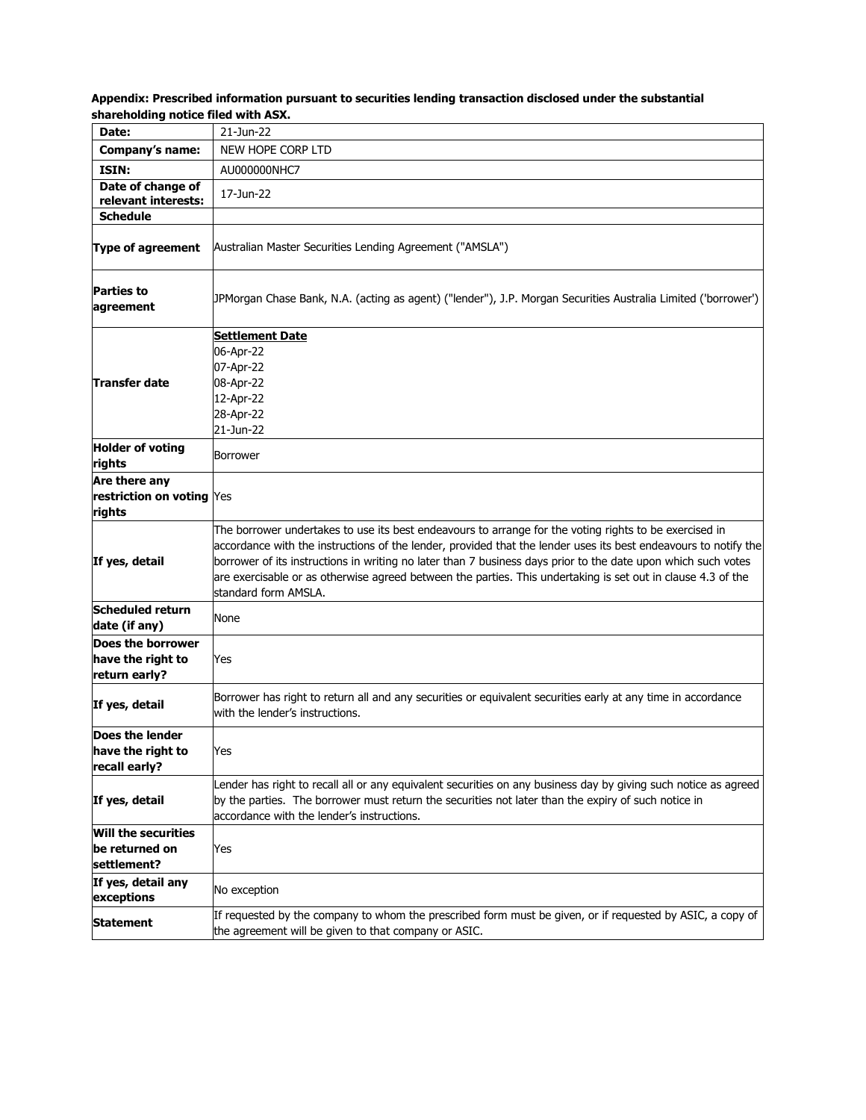| Appendix: Prescribed information pursuant to securities lending transaction disclosed under the substantial |  |
|-------------------------------------------------------------------------------------------------------------|--|
| shareholding notice filed with ASX.                                                                         |  |

| Date:                                                         | 21-Jun-22                                                                                                                                                                                                                                                                                                                                                                                                                                                                          |  |
|---------------------------------------------------------------|------------------------------------------------------------------------------------------------------------------------------------------------------------------------------------------------------------------------------------------------------------------------------------------------------------------------------------------------------------------------------------------------------------------------------------------------------------------------------------|--|
| <b>Company's name:</b>                                        | NEW HOPE CORP LTD                                                                                                                                                                                                                                                                                                                                                                                                                                                                  |  |
| ISIN:                                                         | AU000000NHC7                                                                                                                                                                                                                                                                                                                                                                                                                                                                       |  |
| Date of change of                                             | 17-Jun-22                                                                                                                                                                                                                                                                                                                                                                                                                                                                          |  |
| relevant interests:                                           |                                                                                                                                                                                                                                                                                                                                                                                                                                                                                    |  |
| <b>Schedule</b>                                               |                                                                                                                                                                                                                                                                                                                                                                                                                                                                                    |  |
| Type of agreement                                             | Australian Master Securities Lending Agreement ("AMSLA")                                                                                                                                                                                                                                                                                                                                                                                                                           |  |
| <b>Parties to</b><br>agreement                                | JPMorgan Chase Bank, N.A. (acting as agent) ("lender"), J.P. Morgan Securities Australia Limited ('borrower')                                                                                                                                                                                                                                                                                                                                                                      |  |
| Transfer date                                                 | <b>Settlement Date</b><br>06-Apr-22<br>07-Apr-22<br>08-Apr-22<br>12-Apr-22<br>28-Apr-22<br>21-Jun-22                                                                                                                                                                                                                                                                                                                                                                               |  |
| <b>Holder of voting</b><br>rights                             | Borrower                                                                                                                                                                                                                                                                                                                                                                                                                                                                           |  |
| Are there any<br>restriction on voting Yes<br>rights          |                                                                                                                                                                                                                                                                                                                                                                                                                                                                                    |  |
| If yes, detail                                                | The borrower undertakes to use its best endeavours to arrange for the voting rights to be exercised in<br>accordance with the instructions of the lender, provided that the lender uses its best endeavours to notify the<br>borrower of its instructions in writing no later than 7 business days prior to the date upon which such votes<br>are exercisable or as otherwise agreed between the parties. This undertaking is set out in clause 4.3 of the<br>standard form AMSLA. |  |
| Scheduled return<br>date (if any)                             | None                                                                                                                                                                                                                                                                                                                                                                                                                                                                               |  |
| Does the borrower<br>have the right to<br>return early?       | Yes                                                                                                                                                                                                                                                                                                                                                                                                                                                                                |  |
| If yes, detail                                                | Borrower has right to return all and any securities or equivalent securities early at any time in accordance<br>with the lender's instructions.                                                                                                                                                                                                                                                                                                                                    |  |
| <b>Does the lender</b><br>lhave the right to<br>recall early? | Yes                                                                                                                                                                                                                                                                                                                                                                                                                                                                                |  |
| If yes, detail                                                | Lender has right to recall all or any equivalent securities on any business day by giving such notice as agreed<br>by the parties. The borrower must return the securities not later than the expiry of such notice in<br>accordance with the lender's instructions.                                                                                                                                                                                                               |  |
| <b>Will the securities</b>                                    |                                                                                                                                                                                                                                                                                                                                                                                                                                                                                    |  |
| be returned on<br>settlement?                                 | Yes                                                                                                                                                                                                                                                                                                                                                                                                                                                                                |  |
| If yes, detail any<br>exceptions                              | No exception                                                                                                                                                                                                                                                                                                                                                                                                                                                                       |  |
| <b>Statement</b>                                              | If requested by the company to whom the prescribed form must be given, or if requested by ASIC, a copy of<br>the agreement will be given to that company or ASIC.                                                                                                                                                                                                                                                                                                                  |  |